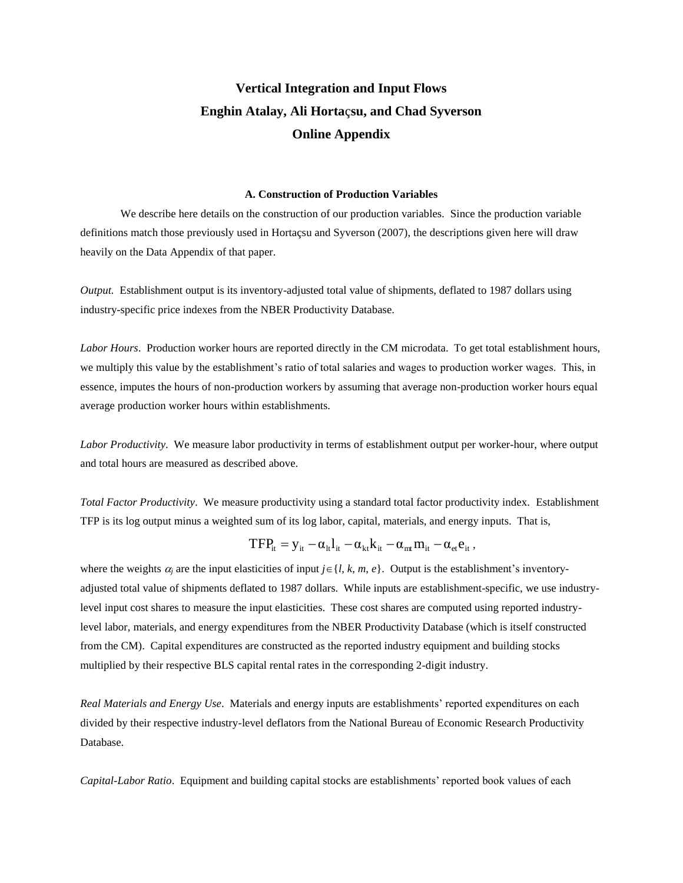# **Vertical Integration and Input Flows Enghin Atalay, Ali Horta**ç**su, and Chad Syverson Online Appendix**

#### **A. Construction of Production Variables**

We describe here details on the construction of our production variables. Since the production variable definitions match those previously used in Hortaçsu and Syverson (2007), the descriptions given here will draw heavily on the Data Appendix of that paper.

*Output.* Establishment output is its inventory-adjusted total value of shipments, deflated to 1987 dollars using industry-specific price indexes from the NBER Productivity Database.

*Labor Hours*. Production worker hours are reported directly in the CM microdata. To get total establishment hours, we multiply this value by the establishment's ratio of total salaries and wages to production worker wages. This, in essence, imputes the hours of non-production workers by assuming that average non-production worker hours equal average production worker hours within establishments.

*Labor Productivity*. We measure labor productivity in terms of establishment output per worker-hour, where output and total hours are measured as described above.

*Total Factor Productivity*. We measure productivity using a standard total factor productivity index. Establishment TFP is its log output minus a weighted sum of its log labor, capital, materials, and energy inputs. That is,

$$
TFP_{it} = y_{it} - \alpha_{it} l_{it} - \alpha_{kt} k_{it} - \alpha_{mt} m_{it} - \alpha_{et} e_{it},
$$

where the weights  $\alpha_i$  are the input elasticities of input  $j \in \{l, k, m, e\}$ . Output is the establishment's inventoryadjusted total value of shipments deflated to 1987 dollars. While inputs are establishment-specific, we use industrylevel input cost shares to measure the input elasticities. These cost shares are computed using reported industrylevel labor, materials, and energy expenditures from the NBER Productivity Database (which is itself constructed from the CM). Capital expenditures are constructed as the reported industry equipment and building stocks multiplied by their respective BLS capital rental rates in the corresponding 2-digit industry.

*Real Materials and Energy Use*. Materials and energy inputs are establishments' reported expenditures on each divided by their respective industry-level deflators from the National Bureau of Economic Research Productivity Database.

*Capital-Labor Ratio*. Equipment and building capital stocks are establishments' reported book values of each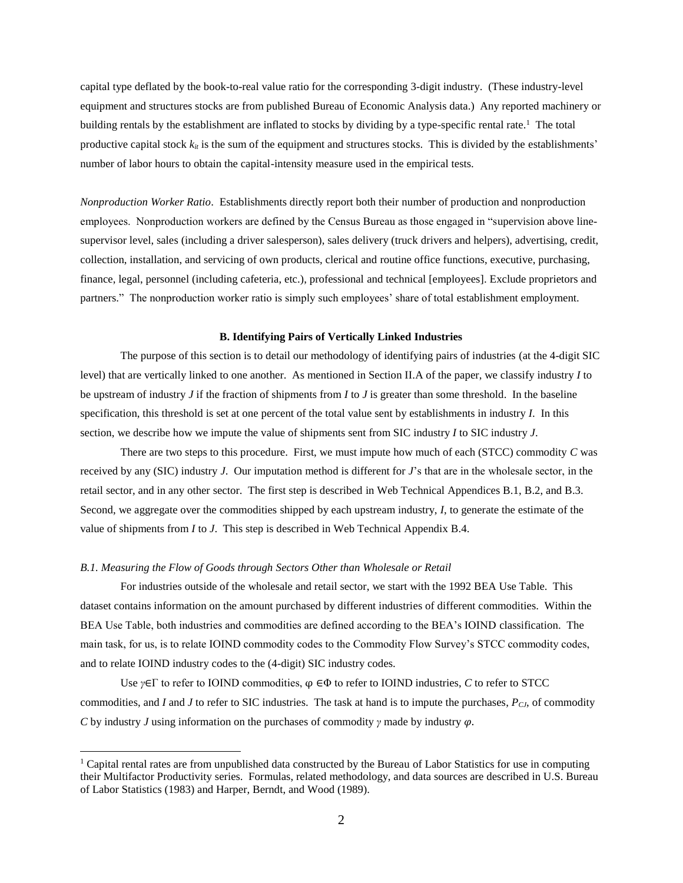capital type deflated by the book-to-real value ratio for the corresponding 3-digit industry. (These industry-level equipment and structures stocks are from published Bureau of Economic Analysis data.) Any reported machinery or building rentals by the establishment are inflated to stocks by dividing by a type-specific rental rate.<sup>1</sup> The total productive capital stock  $k_{it}$  is the sum of the equipment and structures stocks. This is divided by the establishments' number of labor hours to obtain the capital-intensity measure used in the empirical tests.

*Nonproduction Worker Ratio*. Establishments directly report both their number of production and nonproduction employees. Nonproduction workers are defined by the Census Bureau as those engaged in "supervision above linesupervisor level, sales (including a driver salesperson), sales delivery (truck drivers and helpers), advertising, credit, collection, installation, and servicing of own products, clerical and routine office functions, executive, purchasing, finance, legal, personnel (including cafeteria, etc.), professional and technical [employees]. Exclude proprietors and partners." The nonproduction worker ratio is simply such employees' share of total establishment employment.

## **B. Identifying Pairs of Vertically Linked Industries**

The purpose of this section is to detail our methodology of identifying pairs of industries (at the 4-digit SIC level) that are vertically linked to one another. As mentioned in Section II.A of the paper, we classify industry *I* to be upstream of industry *J* if the fraction of shipments from *I* to *J* is greater than some threshold. In the baseline specification, this threshold is set at one percent of the total value sent by establishments in industry *I*. In this section, we describe how we impute the value of shipments sent from SIC industry *I* to SIC industry *J*.

There are two steps to this procedure. First, we must impute how much of each (STCC) commodity *C* was received by any (SIC) industry *J*. Our imputation method is different for *J*'s that are in the wholesale sector, in the retail sector, and in any other sector. The first step is described in Web Technical Appendices B.1, B.2, and B.3. Second, we aggregate over the commodities shipped by each upstream industry, *I*, to generate the estimate of the value of shipments from *I* to *J*. This step is described in Web Technical Appendix B.4.

#### *B.1. Measuring the Flow of Goods through Sectors Other than Wholesale or Retail*

 $\overline{a}$ 

For industries outside of the wholesale and retail sector, we start with the 1992 BEA Use Table. This dataset contains information on the amount purchased by different industries of different commodities. Within the BEA Use Table, both industries and commodities are defined according to the BEA's IOIND classification. The main task, for us, is to relate IOIND commodity codes to the Commodity Flow Survey's STCC commodity codes, and to relate IOIND industry codes to the (4-digit) SIC industry codes.

Use *γ*∈Γ to refer to IOIND commodities, φ ∈Φ to refer to IOIND industries, *C* to refer to STCC commodities, and *I* and *J* to refer to SIC industries. The task at hand is to impute the purchases, *PCJ*, of commodity *C* by industry *J* using information on the purchases of commodity  $\gamma$  made by industry  $\varphi$ .

<sup>&</sup>lt;sup>1</sup> Capital rental rates are from unpublished data constructed by the Bureau of Labor Statistics for use in computing their Multifactor Productivity series. Formulas, related methodology, and data sources are described in U.S. Bureau of Labor Statistics (1983) and Harper, Berndt, and Wood (1989).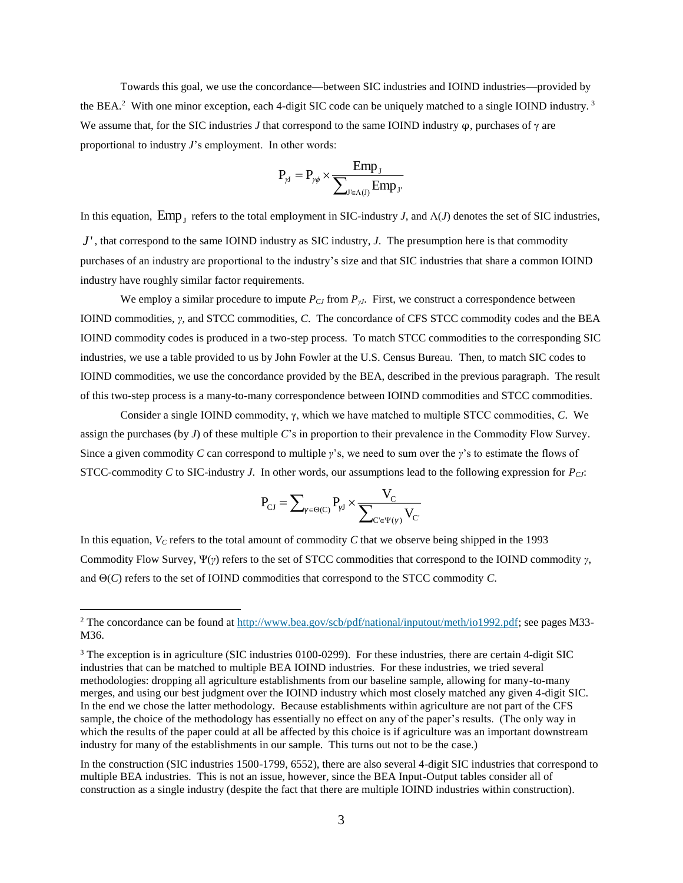Towards this goal, we use the concordance—between SIC industries and IOIND industries—provided by the BEA.<sup>2</sup> With one minor exception, each 4-digit SIC code can be uniquely matched to a single IOIND industry.<sup>3</sup> We assume that, for the SIC industries *J* that correspond to the same IOIND industry  $\varphi$ , purchases of  $\gamma$  are proportional to industry *J*'s employment. In other words:

$$
P_{\gamma J} = P_{\gamma \phi} \times \frac{Emp_{J}}{\sum_{J' \in \Lambda(J)} Emp_{J'}}
$$

In this equation,  $Emp_J$  refers to the total employment in SIC-industry *J*, and  $\Lambda$ (*J*) denotes the set of SIC industries, *J*<sup> $\prime$ </sup>, that correspond to the same IOIND industry as SIC industry, *J*. The presumption here is that commodity purchases of an industry are proportional to the industry's size and that SIC industries that share a common IOIND industry have roughly similar factor requirements.

We employ a similar procedure to impute *PCJ* from *PγJ*. First, we construct a correspondence between IOIND commodities, *γ*, and STCC commodities, *C*. The concordance of CFS STCC commodity codes and the BEA IOIND commodity codes is produced in a two-step process. To match STCC commodities to the corresponding SIC industries, we use a table provided to us by John Fowler at the U.S. Census Bureau. Then, to match SIC codes to IOIND commodities, we use the concordance provided by the BEA, described in the previous paragraph. The result of this two-step process is a many-to-many correspondence between IOIND commodities and STCC commodities.

Consider a single IOIND commodity, γ, which we have matched to multiple STCC commodities, *C*. We assign the purchases (by *J*) of these multiple *C*'s in proportion to their prevalence in the Commodity Flow Survey. Since a given commodity *C* can correspond to multiple *γ*'s, we need to sum over the *γ*'s to estimate the flows of STCC-commodity *C* to SIC-industry *J*. In other words, our assumptions lead to the following expression for *PCJ*:

$$
P_{\text{CJ}} = \sum_{\gamma \in \Theta(C)} P_{\gamma J} \times \frac{V_{\text{C}}}{\sum_{\text{C'} \in \Psi(\gamma)} V_{\text{C'}}}
$$

In this equation, *V<sup>C</sup>* refers to the total amount of commodity *C* that we observe being shipped in the 1993 Commodity Flow Survey, Ψ(*γ*) refers to the set of STCC commodities that correspond to the IOIND commodity *γ*, and Θ(*C*) refers to the set of IOIND commodities that correspond to the STCC commodity *C*.

 $\overline{a}$ 

<sup>2</sup> The concordance can be found at [http://www.bea.gov/scb/pdf/national/inputout/meth/io1992.pdf;](http://www.bea.gov/scb/pdf/national/inputout/meth/io1992.pdf) see pages M33- M36.

<sup>&</sup>lt;sup>3</sup> The exception is in agriculture (SIC industries 0100-0299). For these industries, there are certain 4-digit SIC industries that can be matched to multiple BEA IOIND industries. For these industries, we tried several methodologies: dropping all agriculture establishments from our baseline sample, allowing for many-to-many merges, and using our best judgment over the IOIND industry which most closely matched any given 4-digit SIC. In the end we chose the latter methodology. Because establishments within agriculture are not part of the CFS sample, the choice of the methodology has essentially no effect on any of the paper's results. (The only way in which the results of the paper could at all be affected by this choice is if agriculture was an important downstream industry for many of the establishments in our sample. This turns out not to be the case.)

In the construction (SIC industries 1500-1799, 6552), there are also several 4-digit SIC industries that correspond to multiple BEA industries. This is not an issue, however, since the BEA Input-Output tables consider all of construction as a single industry (despite the fact that there are multiple IOIND industries within construction).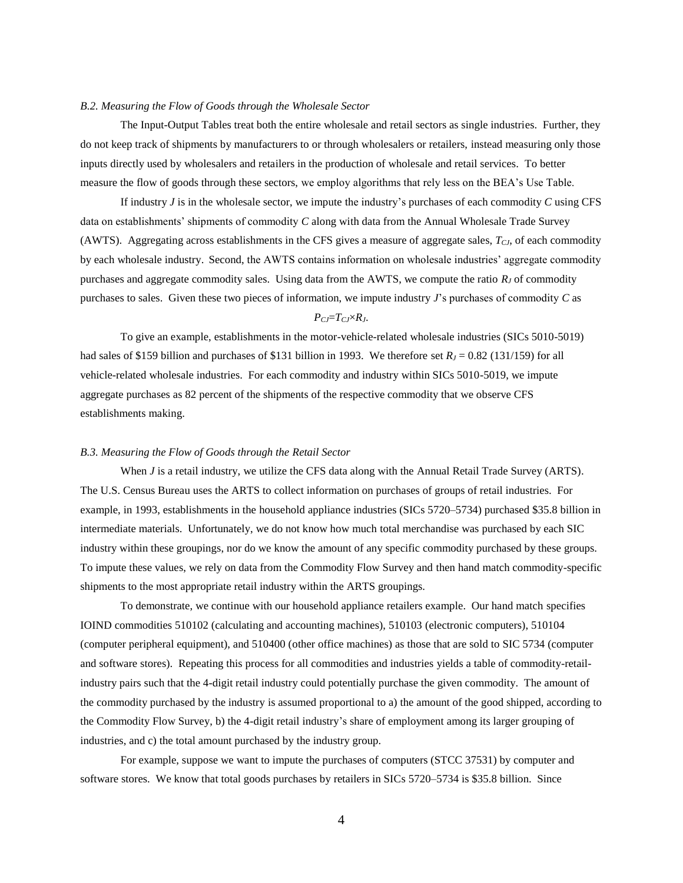#### *B.2. Measuring the Flow of Goods through the Wholesale Sector*

The Input-Output Tables treat both the entire wholesale and retail sectors as single industries. Further, they do not keep track of shipments by manufacturers to or through wholesalers or retailers, instead measuring only those inputs directly used by wholesalers and retailers in the production of wholesale and retail services. To better measure the flow of goods through these sectors, we employ algorithms that rely less on the BEA's Use Table.

If industry *J* is in the wholesale sector, we impute the industry's purchases of each commodity *C* using CFS data on establishments' shipments of commodity *C* along with data from the Annual Wholesale Trade Survey (AWTS). Aggregating across establishments in the CFS gives a measure of aggregate sales, *TCJ*, of each commodity by each wholesale industry. Second, the AWTS contains information on wholesale industries' aggregate commodity purchases and aggregate commodity sales. Using data from the AWTS, we compute the ratio  $R_J$  of commodity purchases to sales. Given these two pieces of information, we impute industry *J*'s purchases of commodity *C* as

#### $P_{CI} = T_{CI} \times R_J$ .

To give an example, establishments in the motor-vehicle-related wholesale industries (SICs 5010-5019) had sales of \$159 billion and purchases of \$131 billion in 1993. We therefore set  $R_J = 0.82$  (131/159) for all vehicle-related wholesale industries. For each commodity and industry within SICs 5010-5019, we impute aggregate purchases as 82 percent of the shipments of the respective commodity that we observe CFS establishments making.

#### *B.3. Measuring the Flow of Goods through the Retail Sector*

When *J* is a retail industry, we utilize the CFS data along with the Annual Retail Trade Survey (ARTS). The U.S. Census Bureau uses the ARTS to collect information on purchases of groups of retail industries. For example, in 1993, establishments in the household appliance industries (SICs 5720–5734) purchased \$35.8 billion in intermediate materials. Unfortunately, we do not know how much total merchandise was purchased by each SIC industry within these groupings, nor do we know the amount of any specific commodity purchased by these groups. To impute these values, we rely on data from the Commodity Flow Survey and then hand match commodity-specific shipments to the most appropriate retail industry within the ARTS groupings.

To demonstrate, we continue with our household appliance retailers example. Our hand match specifies IOIND commodities 510102 (calculating and accounting machines), 510103 (electronic computers), 510104 (computer peripheral equipment), and 510400 (other office machines) as those that are sold to SIC 5734 (computer and software stores). Repeating this process for all commodities and industries yields a table of commodity-retailindustry pairs such that the 4-digit retail industry could potentially purchase the given commodity. The amount of the commodity purchased by the industry is assumed proportional to a) the amount of the good shipped, according to the Commodity Flow Survey, b) the 4-digit retail industry's share of employment among its larger grouping of industries, and c) the total amount purchased by the industry group.

For example, suppose we want to impute the purchases of computers (STCC 37531) by computer and software stores. We know that total goods purchases by retailers in SICs 5720–5734 is \$35.8 billion. Since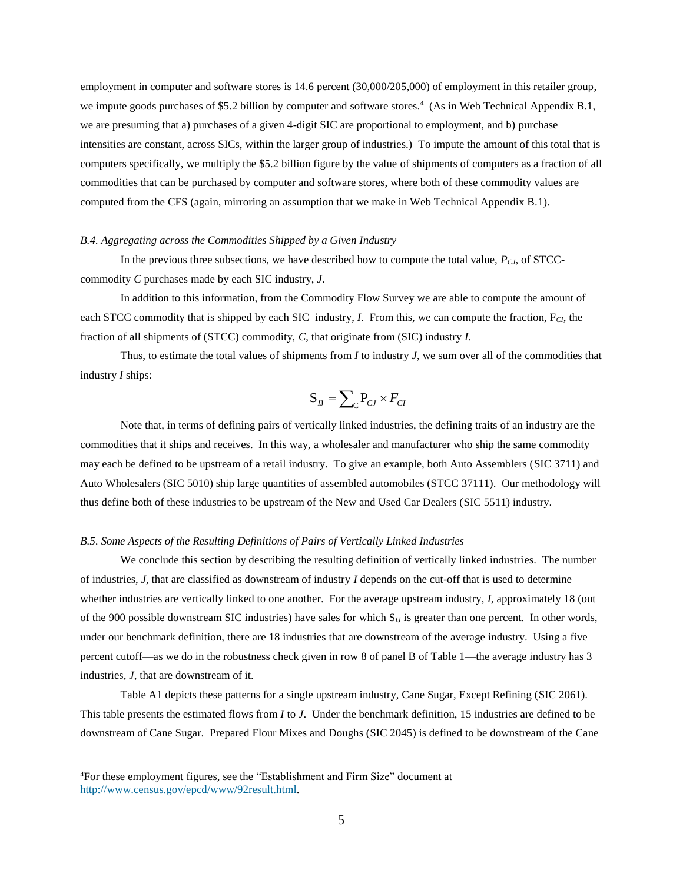employment in computer and software stores is 14.6 percent (30,000/205,000) of employment in this retailer group, we impute goods purchases of \$5.2 billion by computer and software stores.<sup>4</sup> (As in Web Technical Appendix B.1, we are presuming that a) purchases of a given 4-digit SIC are proportional to employment, and b) purchase intensities are constant, across SICs, within the larger group of industries.) To impute the amount of this total that is computers specifically, we multiply the \$5.2 billion figure by the value of shipments of computers as a fraction of all commodities that can be purchased by computer and software stores, where both of these commodity values are computed from the CFS (again, mirroring an assumption that we make in Web Technical Appendix B.1).

#### *B.4. Aggregating across the Commodities Shipped by a Given Industry*

In the previous three subsections, we have described how to compute the total value,  $P_{C,J}$ , of STCCcommodity *C* purchases made by each SIC industry, *J*.

In addition to this information, from the Commodity Flow Survey we are able to compute the amount of each STCC commodity that is shipped by each SIC–industry, *I*. From this, we can compute the fraction, F<sub>CI</sub>, the fraction of all shipments of (STCC) commodity, *C*, that originate from (SIC) industry *I*.

Thus, to estimate the total values of shipments from *I* to industry *J*, we sum over all of the commodities that industry *I* ships:

$$
\mathbf{S}_{I\!J} = \sum_{\mathbf{C}} \mathbf{P}_{C\!J} \times F_{C\!I}
$$

Note that, in terms of defining pairs of vertically linked industries, the defining traits of an industry are the commodities that it ships and receives. In this way, a wholesaler and manufacturer who ship the same commodity may each be defined to be upstream of a retail industry. To give an example, both Auto Assemblers (SIC 3711) and Auto Wholesalers (SIC 5010) ship large quantities of assembled automobiles (STCC 37111). Our methodology will thus define both of these industries to be upstream of the New and Used Car Dealers (SIC 5511) industry.

#### *B.5. Some Aspects of the Resulting Definitions of Pairs of Vertically Linked Industries*

We conclude this section by describing the resulting definition of vertically linked industries. The number of industries, *J*, that are classified as downstream of industry *I* depends on the cut-off that is used to determine whether industries are vertically linked to one another. For the average upstream industry, *I*, approximately 18 (out of the 900 possible downstream SIC industries) have sales for which  $S_{IJ}$  is greater than one percent. In other words, under our benchmark definition, there are 18 industries that are downstream of the average industry. Using a five percent cutoff—as we do in the robustness check given in row 8 of panel B of Table 1—the average industry has 3 industries, *J*, that are downstream of it.

Table A1 depicts these patterns for a single upstream industry, Cane Sugar, Except Refining (SIC 2061). This table presents the estimated flows from *I* to *J*. Under the benchmark definition, 15 industries are defined to be downstream of Cane Sugar. Prepared Flour Mixes and Doughs (SIC 2045) is defined to be downstream of the Cane

 $\overline{a}$ 

<sup>4</sup>For these employment figures, see the "Establishment and Firm Size" document at [http://www.census.gov/epcd/www/92result.html.](http://www.census.gov/epcd/www/92result.html)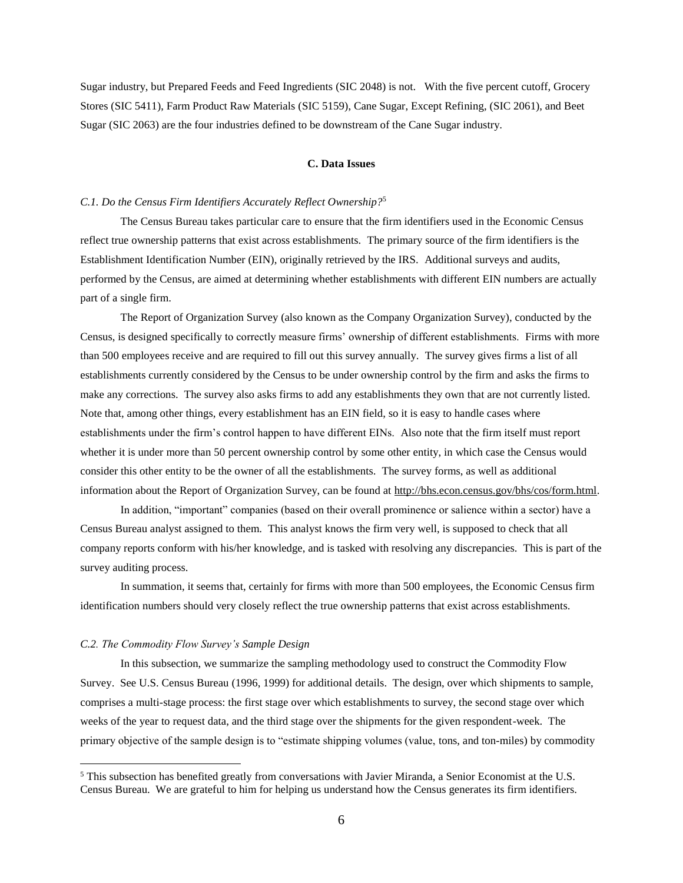Sugar industry, but Prepared Feeds and Feed Ingredients (SIC 2048) is not. With the five percent cutoff, Grocery Stores (SIC 5411), Farm Product Raw Materials (SIC 5159), Cane Sugar, Except Refining, (SIC 2061), and Beet Sugar (SIC 2063) are the four industries defined to be downstream of the Cane Sugar industry.

#### **C. Data Issues**

# *C.1. Do the Census Firm Identifiers Accurately Reflect Ownership?*<sup>5</sup>

The Census Bureau takes particular care to ensure that the firm identifiers used in the Economic Census reflect true ownership patterns that exist across establishments. The primary source of the firm identifiers is the Establishment Identification Number (EIN), originally retrieved by the IRS. Additional surveys and audits, performed by the Census, are aimed at determining whether establishments with different EIN numbers are actually part of a single firm.

The Report of Organization Survey (also known as the Company Organization Survey), conducted by the Census, is designed specifically to correctly measure firms' ownership of different establishments. Firms with more than 500 employees receive and are required to fill out this survey annually. The survey gives firms a list of all establishments currently considered by the Census to be under ownership control by the firm and asks the firms to make any corrections. The survey also asks firms to add any establishments they own that are not currently listed. Note that, among other things, every establishment has an EIN field, so it is easy to handle cases where establishments under the firm's control happen to have different EINs. Also note that the firm itself must report whether it is under more than 50 percent ownership control by some other entity, in which case the Census would consider this other entity to be the owner of all the establishments. The survey forms, as well as additional information about the Report of Organization Survey, can be found at [http://bhs.econ.census.gov/bhs/cos/form.html.](http://bhs.econ.census.gov/bhs/cos/form.html)

In addition, "important" companies (based on their overall prominence or salience within a sector) have a Census Bureau analyst assigned to them. This analyst knows the firm very well, is supposed to check that all company reports conform with his/her knowledge, and is tasked with resolving any discrepancies. This is part of the survey auditing process.

In summation, it seems that, certainly for firms with more than 500 employees, the Economic Census firm identification numbers should very closely reflect the true ownership patterns that exist across establishments.

#### *C.2. The Commodity Flow Survey's Sample Design*

 $\overline{a}$ 

In this subsection, we summarize the sampling methodology used to construct the Commodity Flow Survey. See U.S. Census Bureau (1996, 1999) for additional details. The design, over which shipments to sample, comprises a multi-stage process: the first stage over which establishments to survey, the second stage over which weeks of the year to request data, and the third stage over the shipments for the given respondent-week. The primary objective of the sample design is to "estimate shipping volumes (value, tons, and ton-miles) by commodity

<sup>5</sup> This subsection has benefited greatly from conversations with Javier Miranda, a Senior Economist at the U.S. Census Bureau. We are grateful to him for helping us understand how the Census generates its firm identifiers.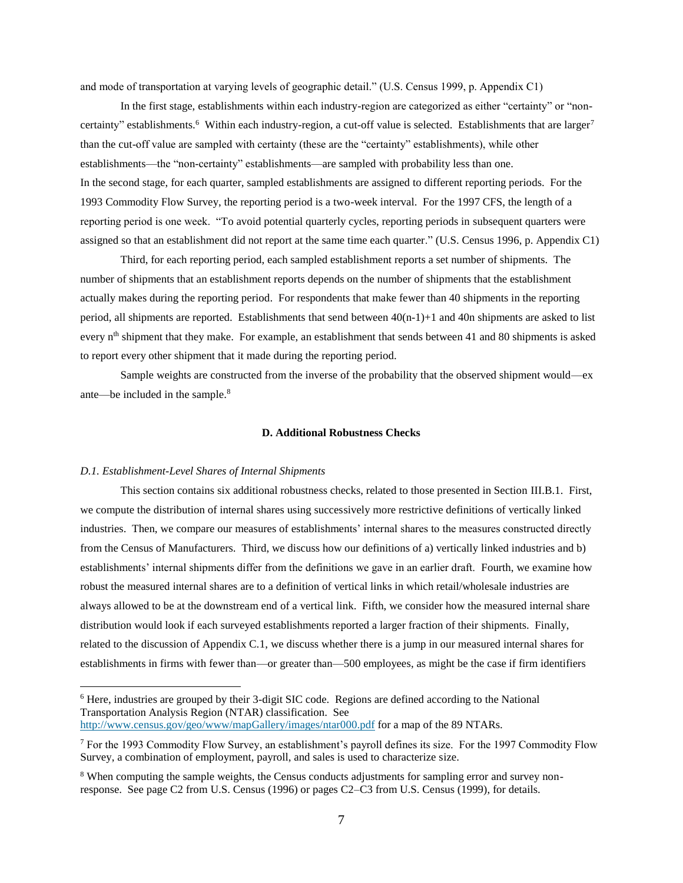and mode of transportation at varying levels of geographic detail." (U.S. Census 1999, p. Appendix C1)

In the first stage, establishments within each industry-region are categorized as either "certainty" or "noncertainty" establishments.<sup>6</sup> Within each industry-region, a cut-off value is selected. Establishments that are larger<sup>7</sup> than the cut-off value are sampled with certainty (these are the "certainty" establishments), while other establishments—the "non-certainty" establishments—are sampled with probability less than one. In the second stage, for each quarter, sampled establishments are assigned to different reporting periods. For the 1993 Commodity Flow Survey, the reporting period is a two-week interval. For the 1997 CFS, the length of a reporting period is one week. "To avoid potential quarterly cycles, reporting periods in subsequent quarters were assigned so that an establishment did not report at the same time each quarter." (U.S. Census 1996, p. Appendix C1)

Third, for each reporting period, each sampled establishment reports a set number of shipments. The number of shipments that an establishment reports depends on the number of shipments that the establishment actually makes during the reporting period. For respondents that make fewer than 40 shipments in the reporting period, all shipments are reported. Establishments that send between 40(n-1)+1 and 40n shipments are asked to list every n<sup>th</sup> shipment that they make. For example, an establishment that sends between 41 and 80 shipments is asked to report every other shipment that it made during the reporting period.

Sample weights are constructed from the inverse of the probability that the observed shipment would—ex ante—be included in the sample.<sup>8</sup>

#### **D. Additional Robustness Checks**

## *D.1. Establishment-Level Shares of Internal Shipments*

 $\overline{a}$ 

This section contains six additional robustness checks, related to those presented in Section III.B.1. First, we compute the distribution of internal shares using successively more restrictive definitions of vertically linked industries. Then, we compare our measures of establishments' internal shares to the measures constructed directly from the Census of Manufacturers. Third, we discuss how our definitions of a) vertically linked industries and b) establishments' internal shipments differ from the definitions we gave in an earlier draft. Fourth, we examine how robust the measured internal shares are to a definition of vertical links in which retail/wholesale industries are always allowed to be at the downstream end of a vertical link. Fifth, we consider how the measured internal share distribution would look if each surveyed establishments reported a larger fraction of their shipments. Finally, related to the discussion of Appendix C.1, we discuss whether there is a jump in our measured internal shares for establishments in firms with fewer than—or greater than—500 employees, as might be the case if firm identifiers

<sup>6</sup> Here, industries are grouped by their 3-digit SIC code. Regions are defined according to the National Transportation Analysis Region (NTAR) classification. See <http://www.census.gov/geo/www/mapGallery/images/ntar000.pdf> for a map of the 89 NTARs.

<sup>7</sup> For the 1993 Commodity Flow Survey, an establishment's payroll defines its size. For the 1997 Commodity Flow Survey, a combination of employment, payroll, and sales is used to characterize size.

<sup>&</sup>lt;sup>8</sup> When computing the sample weights, the Census conducts adjustments for sampling error and survey nonresponse. See page C2 from U.S. Census (1996) or pages C2–C3 from U.S. Census (1999), for details.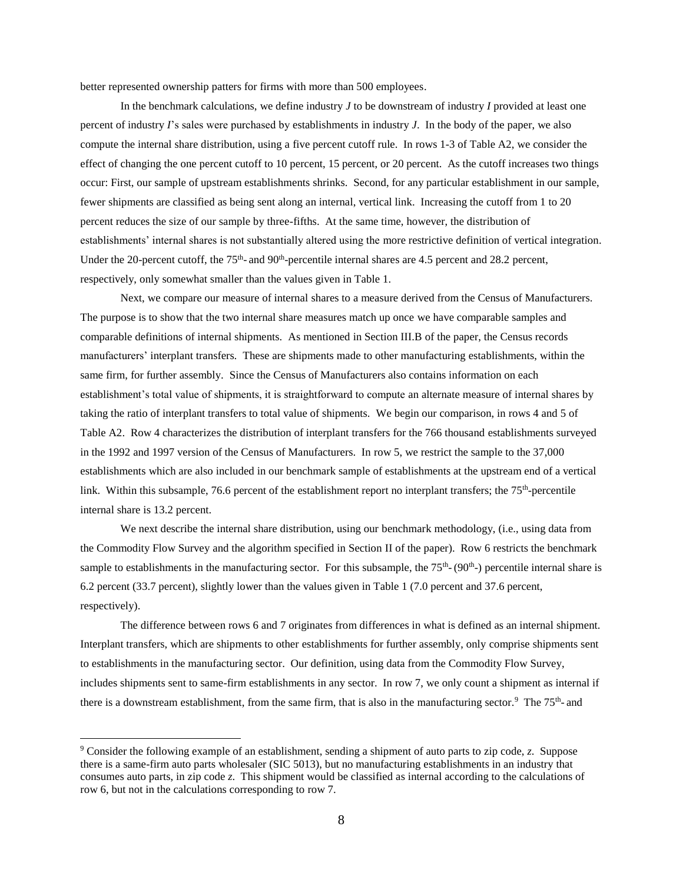better represented ownership patters for firms with more than 500 employees.

In the benchmark calculations, we define industry *J* to be downstream of industry *I* provided at least one percent of industry *I*'s sales were purchased by establishments in industry *J*. In the body of the paper, we also compute the internal share distribution, using a five percent cutoff rule. In rows 1-3 of Table A2, we consider the effect of changing the one percent cutoff to 10 percent, 15 percent, or 20 percent. As the cutoff increases two things occur: First, our sample of upstream establishments shrinks. Second, for any particular establishment in our sample, fewer shipments are classified as being sent along an internal, vertical link. Increasing the cutoff from 1 to 20 percent reduces the size of our sample by three-fifths. At the same time, however, the distribution of establishments' internal shares is not substantially altered using the more restrictive definition of vertical integration. Under the 20-percent cutoff, the  $75<sup>th</sup>$ - and  $90<sup>th</sup>$ -percentile internal shares are 4.5 percent and 28.2 percent, respectively, only somewhat smaller than the values given in Table 1.

Next, we compare our measure of internal shares to a measure derived from the Census of Manufacturers. The purpose is to show that the two internal share measures match up once we have comparable samples and comparable definitions of internal shipments. As mentioned in Section III.B of the paper, the Census records manufacturers' interplant transfers*.* These are shipments made to other manufacturing establishments, within the same firm, for further assembly. Since the Census of Manufacturers also contains information on each establishment's total value of shipments, it is straightforward to compute an alternate measure of internal shares by taking the ratio of interplant transfers to total value of shipments. We begin our comparison, in rows 4 and 5 of Table A2. Row 4 characterizes the distribution of interplant transfers for the 766 thousand establishments surveyed in the 1992 and 1997 version of the Census of Manufacturers. In row 5, we restrict the sample to the 37,000 establishments which are also included in our benchmark sample of establishments at the upstream end of a vertical link. Within this subsample, 76.6 percent of the establishment report no interplant transfers; the 75<sup>th</sup>-percentile internal share is 13.2 percent.

We next describe the internal share distribution, using our benchmark methodology, (i.e., using data from the Commodity Flow Survey and the algorithm specified in Section II of the paper). Row 6 restricts the benchmark sample to establishments in the manufacturing sector. For this subsample, the  $75<sup>th</sup>$ -(90<sup>th</sup>-) percentile internal share is 6.2 percent (33.7 percent), slightly lower than the values given in Table 1 (7.0 percent and 37.6 percent, respectively).

The difference between rows 6 and 7 originates from differences in what is defined as an internal shipment. Interplant transfers, which are shipments to other establishments for further assembly, only comprise shipments sent to establishments in the manufacturing sector. Our definition, using data from the Commodity Flow Survey, includes shipments sent to same-firm establishments in any sector. In row 7, we only count a shipment as internal if there is a downstream establishment, from the same firm, that is also in the manufacturing sector.<sup>9</sup> The  $75<sup>th</sup>$ - and

 $\overline{a}$ 

<sup>9</sup> Consider the following example of an establishment, sending a shipment of auto parts to zip code, *z*. Suppose there is a same-firm auto parts wholesaler (SIC 5013), but no manufacturing establishments in an industry that consumes auto parts, in zip code *z*. This shipment would be classified as internal according to the calculations of row 6, but not in the calculations corresponding to row 7.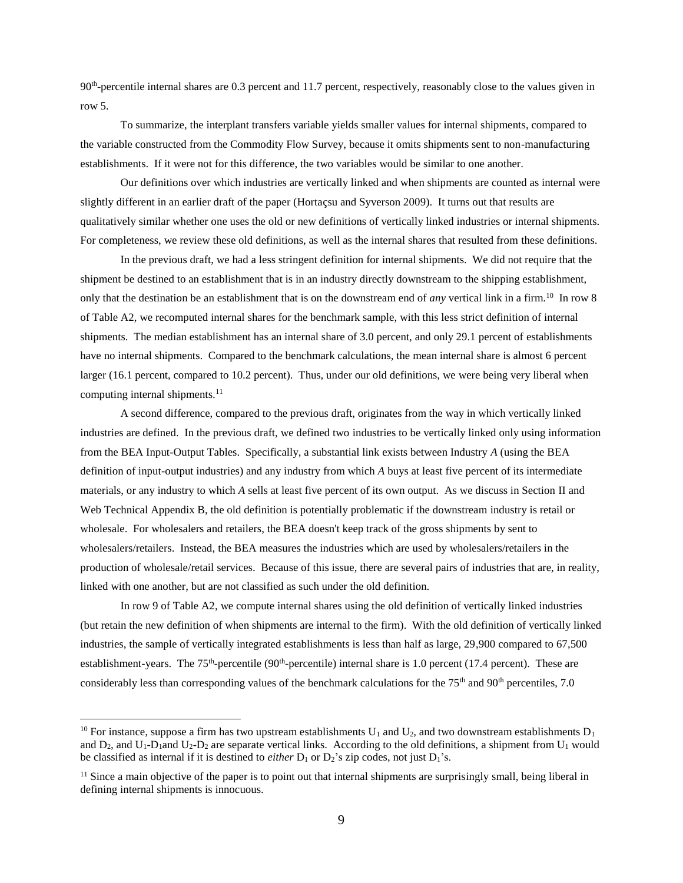90<sup>th</sup>-percentile internal shares are 0.3 percent and 11.7 percent, respectively, reasonably close to the values given in row 5.

To summarize, the interplant transfers variable yields smaller values for internal shipments, compared to the variable constructed from the Commodity Flow Survey, because it omits shipments sent to non-manufacturing establishments. If it were not for this difference, the two variables would be similar to one another.

Our definitions over which industries are vertically linked and when shipments are counted as internal were slightly different in an earlier draft of the paper (Hortaçsu and Syverson 2009). It turns out that results are qualitatively similar whether one uses the old or new definitions of vertically linked industries or internal shipments. For completeness, we review these old definitions, as well as the internal shares that resulted from these definitions.

In the previous draft, we had a less stringent definition for internal shipments. We did not require that the shipment be destined to an establishment that is in an industry directly downstream to the shipping establishment, only that the destination be an establishment that is on the downstream end of *any* vertical link in a firm.<sup>10</sup> In row 8 of Table A2, we recomputed internal shares for the benchmark sample, with this less strict definition of internal shipments. The median establishment has an internal share of 3.0 percent, and only 29.1 percent of establishments have no internal shipments. Compared to the benchmark calculations, the mean internal share is almost 6 percent larger (16.1 percent, compared to 10.2 percent). Thus, under our old definitions, we were being very liberal when computing internal shipments.<sup>11</sup>

A second difference, compared to the previous draft, originates from the way in which vertically linked industries are defined. In the previous draft, we defined two industries to be vertically linked only using information from the BEA Input-Output Tables. Specifically, a substantial link exists between Industry *A* (using the BEA definition of input-output industries) and any industry from which *A* buys at least five percent of its intermediate materials, or any industry to which *A* sells at least five percent of its own output. As we discuss in Section II and Web Technical Appendix B, the old definition is potentially problematic if the downstream industry is retail or wholesale. For wholesalers and retailers, the BEA doesn't keep track of the gross shipments by sent to wholesalers/retailers. Instead, the BEA measures the industries which are used by wholesalers/retailers in the production of wholesale/retail services. Because of this issue, there are several pairs of industries that are, in reality, linked with one another, but are not classified as such under the old definition.

In row 9 of Table A2, we compute internal shares using the old definition of vertically linked industries (but retain the new definition of when shipments are internal to the firm). With the old definition of vertically linked industries, the sample of vertically integrated establishments is less than half as large, 29,900 compared to 67,500 establishment-years. The 75<sup>th</sup>-percentile (90<sup>th</sup>-percentile) internal share is 1.0 percent (17.4 percent). These are considerably less than corresponding values of the benchmark calculations for the 75<sup>th</sup> and 90<sup>th</sup> percentiles, 7.0

 $\overline{a}$ 

<sup>&</sup>lt;sup>10</sup> For instance, suppose a firm has two upstream establishments  $U_1$  and  $U_2$ , and two downstream establishments  $D_1$ and  $D_2$ , and  $U_1$ -D<sub>1</sub> and  $U_2$ -D<sub>2</sub> are separate vertical links. According to the old definitions, a shipment from  $U_1$  would be classified as internal if it is destined to *either*  $D_1$  or  $D_2$ 's zip codes, not just  $D_1$ 's.

 $<sup>11</sup>$  Since a main objective of the paper is to point out that internal shipments are surprisingly small, being liberal in</sup> defining internal shipments is innocuous.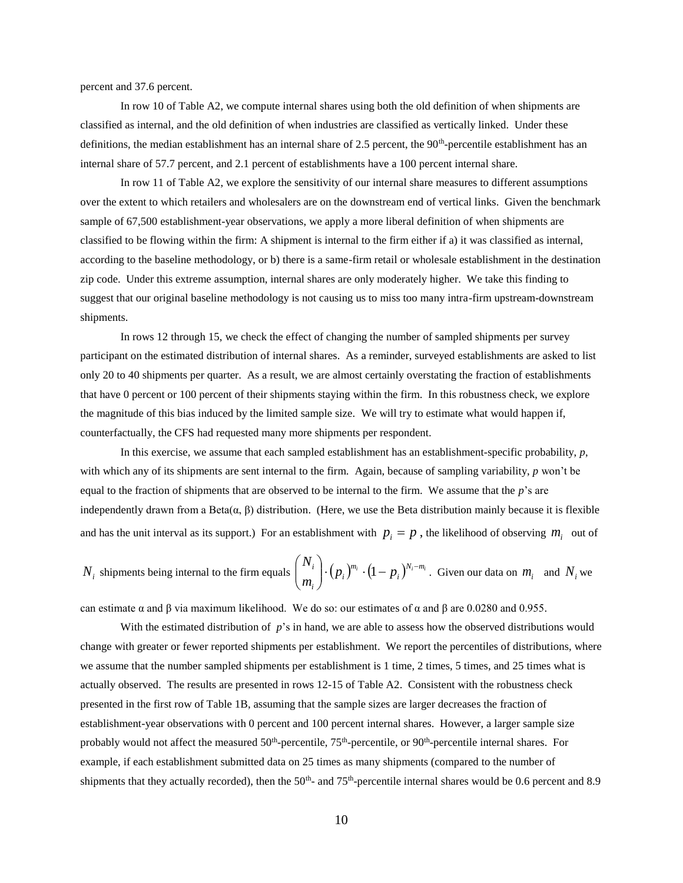percent and 37.6 percent.

In row 10 of Table A2, we compute internal shares using both the old definition of when shipments are classified as internal, and the old definition of when industries are classified as vertically linked. Under these definitions, the median establishment has an internal share of 2.5 percent, the 90<sup>th</sup>-percentile establishment has an internal share of 57.7 percent, and 2.1 percent of establishments have a 100 percent internal share.

In row 11 of Table A2, we explore the sensitivity of our internal share measures to different assumptions over the extent to which retailers and wholesalers are on the downstream end of vertical links. Given the benchmark sample of 67,500 establishment-year observations, we apply a more liberal definition of when shipments are classified to be flowing within the firm: A shipment is internal to the firm either if a) it was classified as internal, according to the baseline methodology, or b) there is a same-firm retail or wholesale establishment in the destination zip code. Under this extreme assumption, internal shares are only moderately higher. We take this finding to suggest that our original baseline methodology is not causing us to miss too many intra-firm upstream-downstream shipments.

In rows 12 through 15, we check the effect of changing the number of sampled shipments per survey participant on the estimated distribution of internal shares. As a reminder, surveyed establishments are asked to list only 20 to 40 shipments per quarter. As a result, we are almost certainly overstating the fraction of establishments that have 0 percent or 100 percent of their shipments staying within the firm. In this robustness check, we explore the magnitude of this bias induced by the limited sample size. We will try to estimate what would happen if, counterfactually, the CFS had requested many more shipments per respondent.

In this exercise, we assume that each sampled establishment has an establishment-specific probability, *p*, with which any of its shipments are sent internal to the firm. Again, because of sampling variability, *p* won't be equal to the fraction of shipments that are observed to be internal to the firm. We assume that the  $p$ 's are independently drawn from a Beta $(α, β)$  distribution. (Here, we use the Beta distribution mainly because it is flexible and has the unit interval as its support.) For an establishment with  $p_i = p$ , the likelihood of observing  $m_i$  out of

$$
N_i
$$
 shipments being internal to the firm equals  $\binom{N_i}{m_i}$ .  $(p_i)^{m_i} \cdot (1-p_i)^{N_i-m_i}$ . Given our data on  $m_i$  and  $N_i$  we

can estimate  $\alpha$  and  $\beta$  via maximum likelihood. We do so: our estimates of  $\alpha$  and  $\beta$  are 0.0280 and 0.955.

With the estimated distribution of *p*'s in hand, we are able to assess how the observed distributions would change with greater or fewer reported shipments per establishment. We report the percentiles of distributions, where we assume that the number sampled shipments per establishment is 1 time, 2 times, 5 times, and 25 times what is actually observed. The results are presented in rows 12-15 of Table A2. Consistent with the robustness check presented in the first row of Table 1B, assuming that the sample sizes are larger decreases the fraction of establishment-year observations with 0 percent and 100 percent internal shares. However, a larger sample size probably would not affect the measured 50<sup>th</sup>-percentile, 75<sup>th</sup>-percentile, or 90<sup>th</sup>-percentile internal shares. For example, if each establishment submitted data on 25 times as many shipments (compared to the number of shipments that they actually recorded), then the  $50<sup>th</sup>$ - and  $75<sup>th</sup>$ -percentile internal shares would be 0.6 percent and 8.9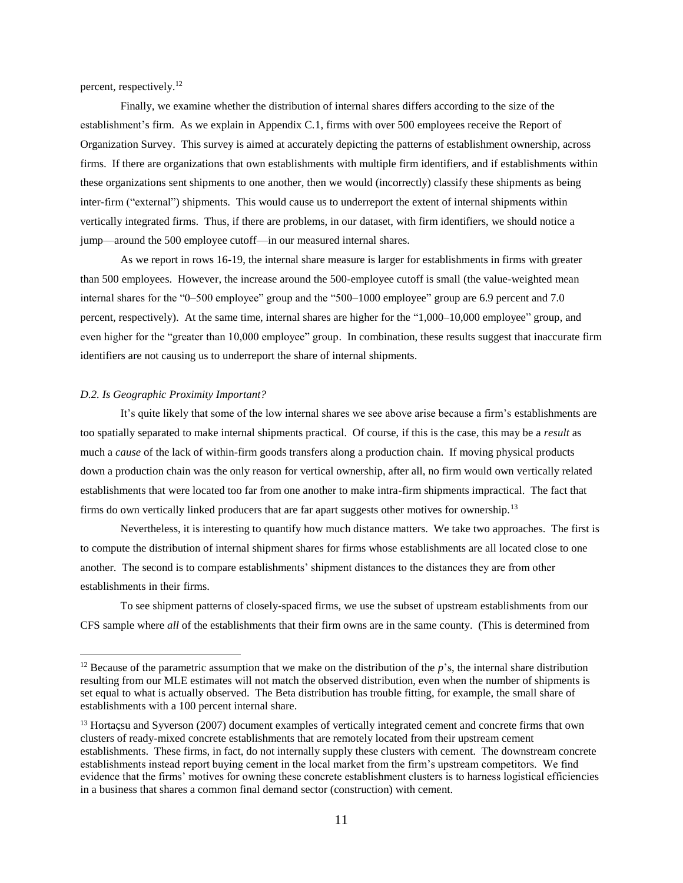percent, respectively. 12

Finally, we examine whether the distribution of internal shares differs according to the size of the establishment's firm. As we explain in Appendix C.1, firms with over 500 employees receive the Report of Organization Survey. This survey is aimed at accurately depicting the patterns of establishment ownership, across firms. If there are organizations that own establishments with multiple firm identifiers, and if establishments within these organizations sent shipments to one another, then we would (incorrectly) classify these shipments as being inter-firm ("external") shipments. This would cause us to underreport the extent of internal shipments within vertically integrated firms. Thus, if there are problems, in our dataset, with firm identifiers, we should notice a jump—around the 500 employee cutoff—in our measured internal shares.

As we report in rows 16-19, the internal share measure is larger for establishments in firms with greater than 500 employees. However, the increase around the 500-employee cutoff is small (the value-weighted mean internal shares for the "0–500 employee" group and the "500–1000 employee" group are 6.9 percent and 7.0 percent, respectively). At the same time, internal shares are higher for the "1,000–10,000 employee" group, and even higher for the "greater than 10,000 employee" group. In combination, these results suggest that inaccurate firm identifiers are not causing us to underreport the share of internal shipments.

#### *D.2. Is Geographic Proximity Important?*

 $\overline{a}$ 

It's quite likely that some of the low internal shares we see above arise because a firm's establishments are too spatially separated to make internal shipments practical. Of course, if this is the case, this may be a *result* as much a *cause* of the lack of within-firm goods transfers along a production chain. If moving physical products down a production chain was the only reason for vertical ownership, after all, no firm would own vertically related establishments that were located too far from one another to make intra-firm shipments impractical. The fact that firms do own vertically linked producers that are far apart suggests other motives for ownership.<sup>13</sup>

Nevertheless, it is interesting to quantify how much distance matters. We take two approaches. The first is to compute the distribution of internal shipment shares for firms whose establishments are all located close to one another. The second is to compare establishments' shipment distances to the distances they are from other establishments in their firms.

To see shipment patterns of closely-spaced firms, we use the subset of upstream establishments from our CFS sample where *all* of the establishments that their firm owns are in the same county. (This is determined from

<sup>&</sup>lt;sup>12</sup> Because of the parametric assumption that we make on the distribution of the  $p$ 's, the internal share distribution resulting from our MLE estimates will not match the observed distribution, even when the number of shipments is set equal to what is actually observed. The Beta distribution has trouble fitting, for example, the small share of establishments with a 100 percent internal share.

<sup>&</sup>lt;sup>13</sup> Hortacsu and Syverson (2007) document examples of vertically integrated cement and concrete firms that own clusters of ready-mixed concrete establishments that are remotely located from their upstream cement establishments. These firms, in fact, do not internally supply these clusters with cement. The downstream concrete establishments instead report buying cement in the local market from the firm's upstream competitors. We find evidence that the firms' motives for owning these concrete establishment clusters is to harness logistical efficiencies in a business that shares a common final demand sector (construction) with cement.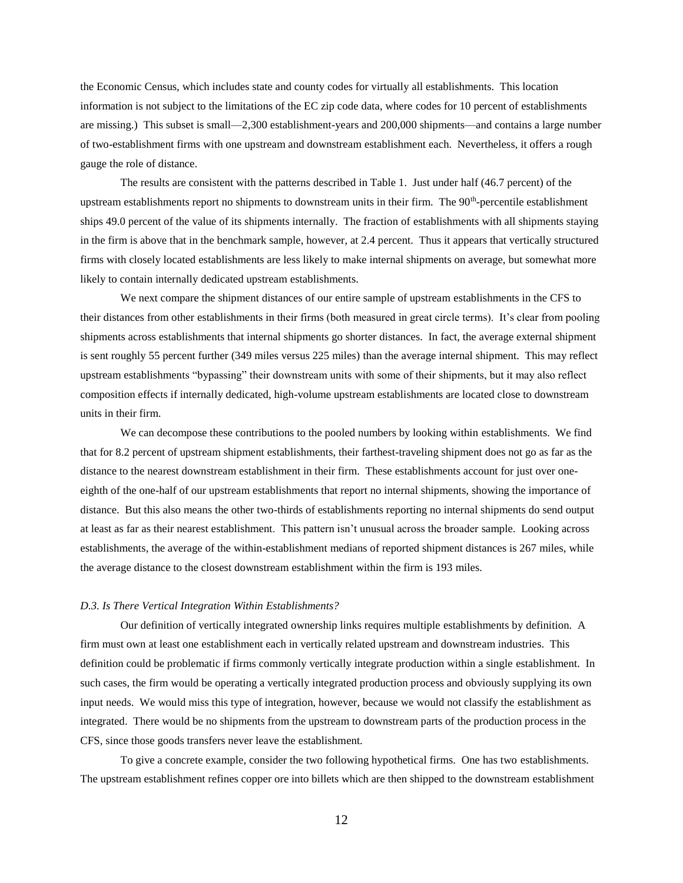the Economic Census, which includes state and county codes for virtually all establishments. This location information is not subject to the limitations of the EC zip code data, where codes for 10 percent of establishments are missing.) This subset is small—2,300 establishment-years and 200,000 shipments—and contains a large number of two-establishment firms with one upstream and downstream establishment each. Nevertheless, it offers a rough gauge the role of distance.

The results are consistent with the patterns described in Table 1. Just under half (46.7 percent) of the upstream establishments report no shipments to downstream units in their firm. The 90<sup>th</sup>-percentile establishment ships 49.0 percent of the value of its shipments internally. The fraction of establishments with all shipments staying in the firm is above that in the benchmark sample, however, at 2.4 percent. Thus it appears that vertically structured firms with closely located establishments are less likely to make internal shipments on average, but somewhat more likely to contain internally dedicated upstream establishments.

We next compare the shipment distances of our entire sample of upstream establishments in the CFS to their distances from other establishments in their firms (both measured in great circle terms). It's clear from pooling shipments across establishments that internal shipments go shorter distances. In fact, the average external shipment is sent roughly 55 percent further (349 miles versus 225 miles) than the average internal shipment. This may reflect upstream establishments "bypassing" their downstream units with some of their shipments, but it may also reflect composition effects if internally dedicated, high-volume upstream establishments are located close to downstream units in their firm.

We can decompose these contributions to the pooled numbers by looking within establishments. We find that for 8.2 percent of upstream shipment establishments, their farthest-traveling shipment does not go as far as the distance to the nearest downstream establishment in their firm. These establishments account for just over oneeighth of the one-half of our upstream establishments that report no internal shipments, showing the importance of distance. But this also means the other two-thirds of establishments reporting no internal shipments do send output at least as far as their nearest establishment. This pattern isn't unusual across the broader sample. Looking across establishments, the average of the within-establishment medians of reported shipment distances is 267 miles, while the average distance to the closest downstream establishment within the firm is 193 miles.

#### *D.3. Is There Vertical Integration Within Establishments?*

Our definition of vertically integrated ownership links requires multiple establishments by definition. A firm must own at least one establishment each in vertically related upstream and downstream industries. This definition could be problematic if firms commonly vertically integrate production within a single establishment. In such cases, the firm would be operating a vertically integrated production process and obviously supplying its own input needs. We would miss this type of integration, however, because we would not classify the establishment as integrated. There would be no shipments from the upstream to downstream parts of the production process in the CFS, since those goods transfers never leave the establishment.

To give a concrete example, consider the two following hypothetical firms. One has two establishments. The upstream establishment refines copper ore into billets which are then shipped to the downstream establishment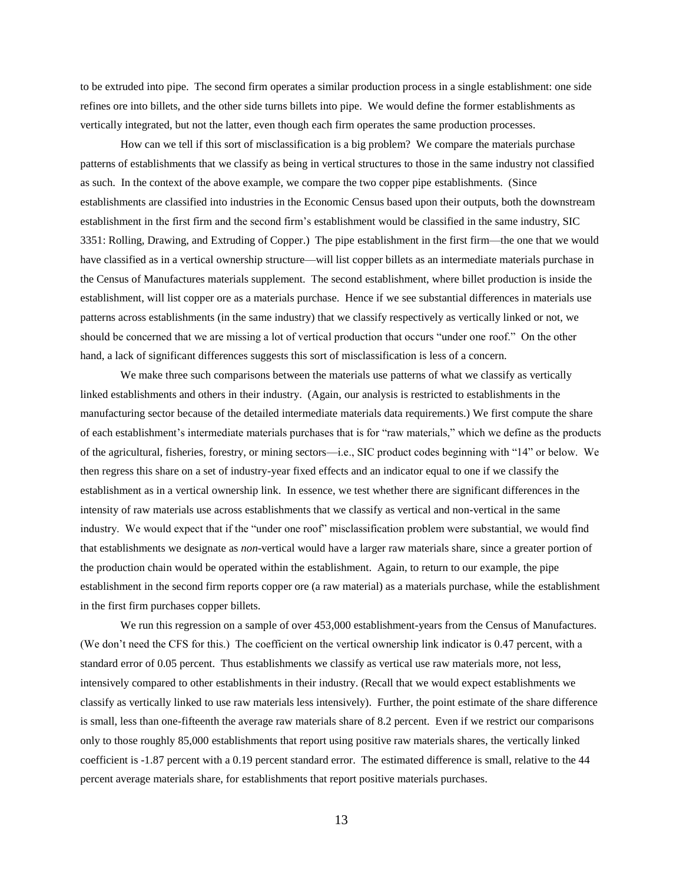to be extruded into pipe. The second firm operates a similar production process in a single establishment: one side refines ore into billets, and the other side turns billets into pipe. We would define the former establishments as vertically integrated, but not the latter, even though each firm operates the same production processes.

How can we tell if this sort of misclassification is a big problem? We compare the materials purchase patterns of establishments that we classify as being in vertical structures to those in the same industry not classified as such. In the context of the above example, we compare the two copper pipe establishments. (Since establishments are classified into industries in the Economic Census based upon their outputs, both the downstream establishment in the first firm and the second firm's establishment would be classified in the same industry, SIC 3351: Rolling, Drawing, and Extruding of Copper.) The pipe establishment in the first firm—the one that we would have classified as in a vertical ownership structure—will list copper billets as an intermediate materials purchase in the Census of Manufactures materials supplement. The second establishment, where billet production is inside the establishment, will list copper ore as a materials purchase. Hence if we see substantial differences in materials use patterns across establishments (in the same industry) that we classify respectively as vertically linked or not, we should be concerned that we are missing a lot of vertical production that occurs "under one roof." On the other hand, a lack of significant differences suggests this sort of misclassification is less of a concern.

We make three such comparisons between the materials use patterns of what we classify as vertically linked establishments and others in their industry. (Again, our analysis is restricted to establishments in the manufacturing sector because of the detailed intermediate materials data requirements.) We first compute the share of each establishment's intermediate materials purchases that is for "raw materials," which we define as the products of the agricultural, fisheries, forestry, or mining sectors—i.e., SIC product codes beginning with "14" or below. We then regress this share on a set of industry-year fixed effects and an indicator equal to one if we classify the establishment as in a vertical ownership link. In essence, we test whether there are significant differences in the intensity of raw materials use across establishments that we classify as vertical and non-vertical in the same industry. We would expect that if the "under one roof" misclassification problem were substantial, we would find that establishments we designate as *non*-vertical would have a larger raw materials share, since a greater portion of the production chain would be operated within the establishment. Again, to return to our example, the pipe establishment in the second firm reports copper ore (a raw material) as a materials purchase, while the establishment in the first firm purchases copper billets.

We run this regression on a sample of over 453,000 establishment-years from the Census of Manufactures. (We don't need the CFS for this.) The coefficient on the vertical ownership link indicator is 0.47 percent, with a standard error of 0.05 percent. Thus establishments we classify as vertical use raw materials more, not less, intensively compared to other establishments in their industry. (Recall that we would expect establishments we classify as vertically linked to use raw materials less intensively). Further, the point estimate of the share difference is small, less than one-fifteenth the average raw materials share of 8.2 percent. Even if we restrict our comparisons only to those roughly 85,000 establishments that report using positive raw materials shares, the vertically linked coefficient is -1.87 percent with a 0.19 percent standard error. The estimated difference is small, relative to the 44 percent average materials share, for establishments that report positive materials purchases.

13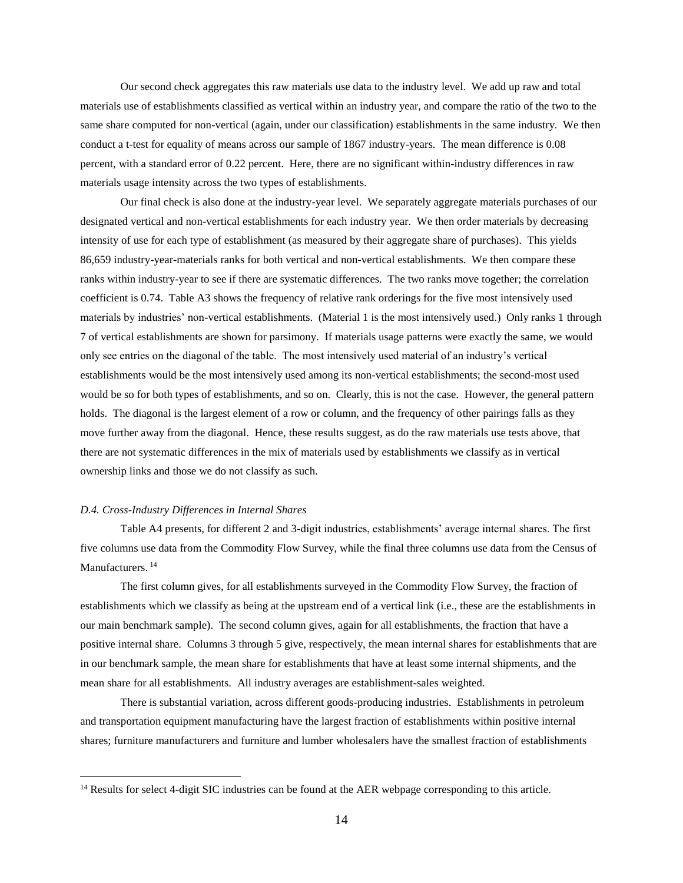Our second check aggregates this raw materials use data to the industry level. We add up raw and total materials use of establishments classified as vertical within an industry year, and compare the ratio of the two to the same share computed for non-vertical (again, under our classification) establishments in the same industry. We then conduct a t-test for equality of means across our sample of 1867 industry-years. The mean difference is 0.08 percent, with a standard error of 0.22 percent. Here, there are no significant within-industry differences in raw materials usage intensity across the two types of establishments.

Our final check is also done at the industry-year level. We separately aggregate materials purchases of our designated vertical and non-vertical establishments for each industry year. We then order materials by decreasing intensity of use for each type of establishment (as measured by their aggregate share of purchases). This yields 86,659 industry-year-materials ranks for both vertical and non-vertical establishments. We then compare these ranks within industry-year to see if there are systematic differences. The two ranks move together; the correlation coefficient is 0.74. Table A3 shows the frequency of relative rank orderings for the five most intensively used materials by industries' non-vertical establishments. (Material 1 is the most intensively used.) Only ranks 1 through 7 of vertical establishments are shown for parsimony. If materials usage patterns were exactly the same, we would only see entries on the diagonal of the table. The most intensively used material of an industry's vertical establishments would be the most intensively used among its non-vertical establishments; the second-most used would be so for both types of establishments, and so on. Clearly, this is not the case. However, the general pattern holds. The diagonal is the largest element of a row or column, and the frequency of other pairings falls as they move further away from the diagonal. Hence, these results suggest, as do the raw materials use tests above, that there are not systematic differences in the mix of materials used by establishments we classify as in vertical ownership links and those we do not classify as such.

#### *D.4. Cross-Industry Differences in Internal Shares*

 $\overline{a}$ 

Table A4 presents, for different 2 and 3-digit industries, establishments' average internal shares. The first five columns use data from the Commodity Flow Survey, while the final three columns use data from the Census of Manufacturers.<sup>14</sup>

The first column gives, for all establishments surveyed in the Commodity Flow Survey, the fraction of establishments which we classify as being at the upstream end of a vertical link (i.e., these are the establishments in our main benchmark sample). The second column gives, again for all establishments, the fraction that have a positive internal share. Columns 3 through 5 give, respectively, the mean internal shares for establishments that are in our benchmark sample, the mean share for establishments that have at least some internal shipments, and the mean share for all establishments. All industry averages are establishment-sales weighted.

There is substantial variation, across different goods-producing industries. Establishments in petroleum and transportation equipment manufacturing have the largest fraction of establishments within positive internal shares; furniture manufacturers and furniture and lumber wholesalers have the smallest fraction of establishments

<sup>&</sup>lt;sup>14</sup> Results for select 4-digit SIC industries can be found at the AER webpage corresponding to this article.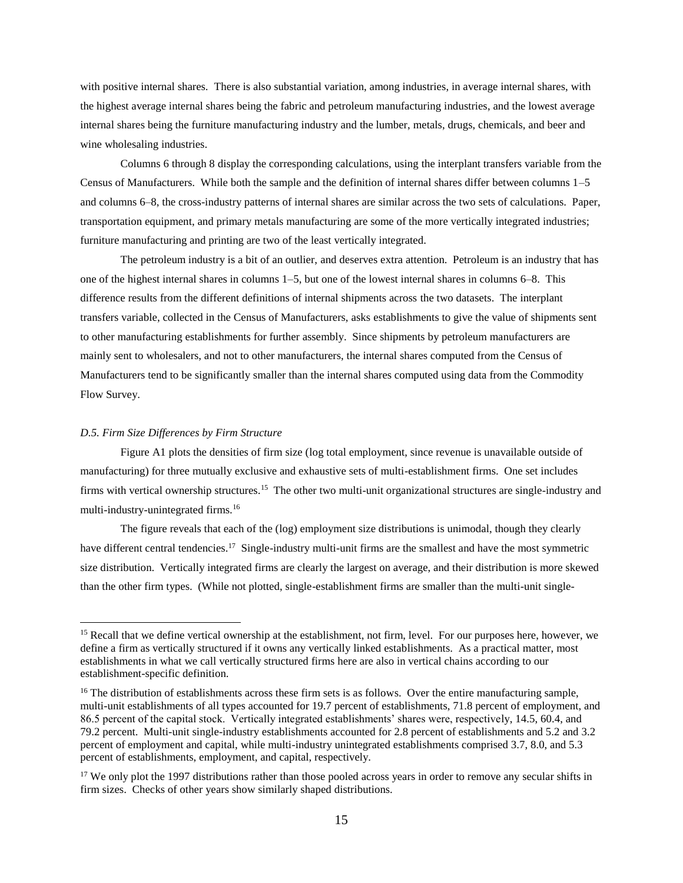with positive internal shares. There is also substantial variation, among industries, in average internal shares, with the highest average internal shares being the fabric and petroleum manufacturing industries, and the lowest average internal shares being the furniture manufacturing industry and the lumber, metals, drugs, chemicals, and beer and wine wholesaling industries.

Columns 6 through 8 display the corresponding calculations, using the interplant transfers variable from the Census of Manufacturers. While both the sample and the definition of internal shares differ between columns 1–5 and columns 6–8, the cross-industry patterns of internal shares are similar across the two sets of calculations. Paper, transportation equipment, and primary metals manufacturing are some of the more vertically integrated industries; furniture manufacturing and printing are two of the least vertically integrated.

The petroleum industry is a bit of an outlier, and deserves extra attention. Petroleum is an industry that has one of the highest internal shares in columns 1–5, but one of the lowest internal shares in columns 6–8. This difference results from the different definitions of internal shipments across the two datasets. The interplant transfers variable, collected in the Census of Manufacturers, asks establishments to give the value of shipments sent to other manufacturing establishments for further assembly. Since shipments by petroleum manufacturers are mainly sent to wholesalers, and not to other manufacturers, the internal shares computed from the Census of Manufacturers tend to be significantly smaller than the internal shares computed using data from the Commodity Flow Survey.

#### *D.5. Firm Size Differences by Firm Structure*

 $\overline{a}$ 

Figure A1 plots the densities of firm size (log total employment, since revenue is unavailable outside of manufacturing) for three mutually exclusive and exhaustive sets of multi-establishment firms. One set includes firms with vertical ownership structures.<sup>15</sup> The other two multi-unit organizational structures are single-industry and multi-industry-unintegrated firms.<sup>16</sup>

The figure reveals that each of the (log) employment size distributions is unimodal, though they clearly have different central tendencies.<sup>17</sup> Single-industry multi-unit firms are the smallest and have the most symmetric size distribution. Vertically integrated firms are clearly the largest on average, and their distribution is more skewed than the other firm types. (While not plotted, single-establishment firms are smaller than the multi-unit single-

<sup>&</sup>lt;sup>15</sup> Recall that we define vertical ownership at the establishment, not firm, level. For our purposes here, however, we define a firm as vertically structured if it owns any vertically linked establishments. As a practical matter, most establishments in what we call vertically structured firms here are also in vertical chains according to our establishment-specific definition.

<sup>&</sup>lt;sup>16</sup> The distribution of establishments across these firm sets is as follows. Over the entire manufacturing sample, multi-unit establishments of all types accounted for 19.7 percent of establishments, 71.8 percent of employment, and 86.5 percent of the capital stock. Vertically integrated establishments' shares were, respectively, 14.5, 60.4, and 79.2 percent. Multi-unit single-industry establishments accounted for 2.8 percent of establishments and 5.2 and 3.2 percent of employment and capital, while multi-industry unintegrated establishments comprised 3.7, 8.0, and 5.3 percent of establishments, employment, and capital, respectively.

<sup>&</sup>lt;sup>17</sup> We only plot the 1997 distributions rather than those pooled across years in order to remove any secular shifts in firm sizes. Checks of other years show similarly shaped distributions.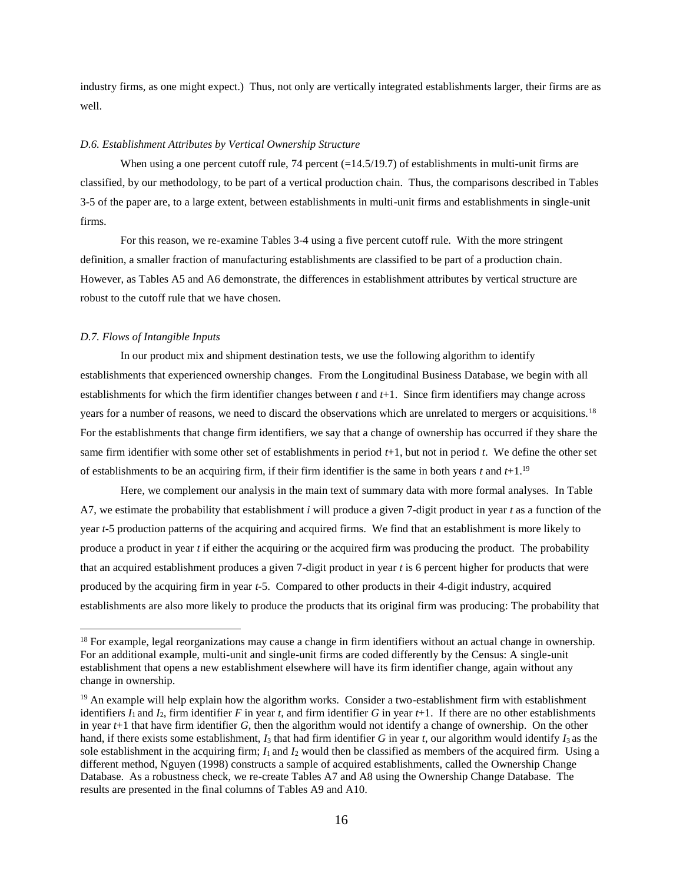industry firms, as one might expect.) Thus, not only are vertically integrated establishments larger, their firms are as well.

#### *D.6. Establishment Attributes by Vertical Ownership Structure*

When using a one percent cutoff rule, 74 percent  $(=14.5/19.7)$  of establishments in multi-unit firms are classified, by our methodology, to be part of a vertical production chain. Thus, the comparisons described in Tables 3-5 of the paper are, to a large extent, between establishments in multi-unit firms and establishments in single-unit firms.

For this reason, we re-examine Tables 3-4 using a five percent cutoff rule. With the more stringent definition, a smaller fraction of manufacturing establishments are classified to be part of a production chain. However, as Tables A5 and A6 demonstrate, the differences in establishment attributes by vertical structure are robust to the cutoff rule that we have chosen.

# *D.7. Flows of Intangible Inputs*

 $\overline{a}$ 

In our product mix and shipment destination tests, we use the following algorithm to identify establishments that experienced ownership changes. From the Longitudinal Business Database, we begin with all establishments for which the firm identifier changes between *t* and *t*+1. Since firm identifiers may change across years for a number of reasons, we need to discard the observations which are unrelated to mergers or acquisitions.<sup>18</sup> For the establishments that change firm identifiers, we say that a change of ownership has occurred if they share the same firm identifier with some other set of establishments in period *t*+1, but not in period *t*. We define the other set of establishments to be an acquiring firm, if their firm identifier is the same in both years *t* and *t*+1.<sup>19</sup>

Here, we complement our analysis in the main text of summary data with more formal analyses. In Table A7, we estimate the probability that establishment *i* will produce a given 7-digit product in year *t* as a function of the year *t*-5 production patterns of the acquiring and acquired firms. We find that an establishment is more likely to produce a product in year *t* if either the acquiring or the acquired firm was producing the product. The probability that an acquired establishment produces a given 7-digit product in year *t* is 6 percent higher for products that were produced by the acquiring firm in year *t*-5. Compared to other products in their 4-digit industry, acquired establishments are also more likely to produce the products that its original firm was producing: The probability that

<sup>&</sup>lt;sup>18</sup> For example, legal reorganizations may cause a change in firm identifiers without an actual change in ownership. For an additional example, multi-unit and single-unit firms are coded differently by the Census: A single-unit establishment that opens a new establishment elsewhere will have its firm identifier change, again without any change in ownership.

<sup>&</sup>lt;sup>19</sup> An example will help explain how the algorithm works. Consider a two-establishment firm with establishment identifiers  $I_1$  and  $I_2$ , firm identifier  $F$  in year  $t$ , and firm identifier  $G$  in year  $t+1$ . If there are no other establishments in year *t*+1 that have firm identifier *G*, then the algorithm would not identify a change of ownership. On the other hand, if there exists some establishment,  $I_3$  that had firm identifier G in year t, our algorithm would identify  $I_3$  as the sole establishment in the acquiring firm;  $I_1$  and  $I_2$  would then be classified as members of the acquired firm. Using a different method, Nguyen (1998) constructs a sample of acquired establishments, called the Ownership Change Database. As a robustness check, we re-create Tables A7 and A8 using the Ownership Change Database. The results are presented in the final columns of Tables A9 and A10.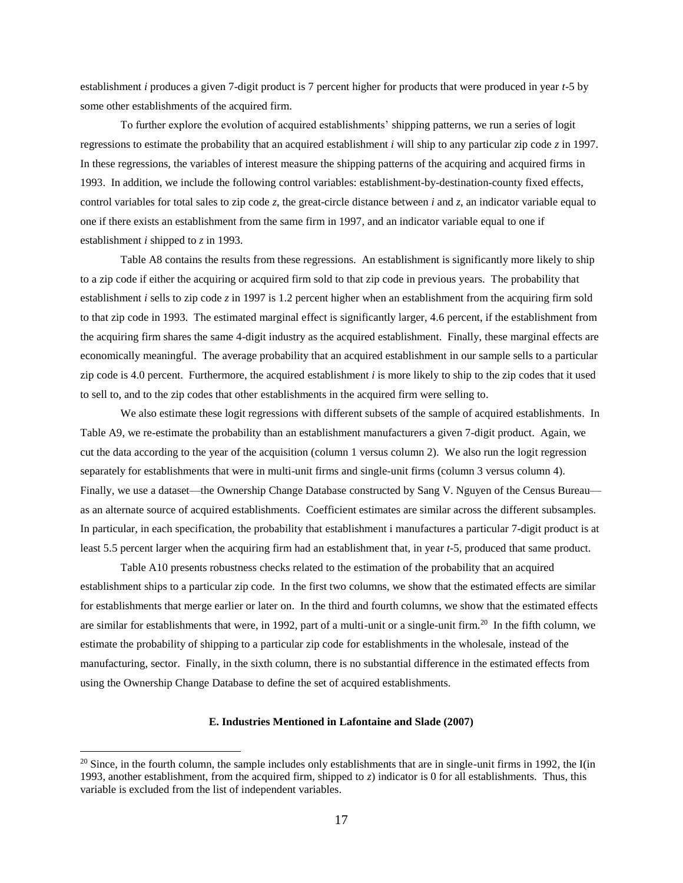establishment *i* produces a given 7-digit product is 7 percent higher for products that were produced in year *t*-5 by some other establishments of the acquired firm.

To further explore the evolution of acquired establishments' shipping patterns, we run a series of logit regressions to estimate the probability that an acquired establishment *i* will ship to any particular zip code *z* in 1997. In these regressions, the variables of interest measure the shipping patterns of the acquiring and acquired firms in 1993. In addition, we include the following control variables: establishment-by-destination-county fixed effects, control variables for total sales to zip code *z*, the great-circle distance between *i* and *z*, an indicator variable equal to one if there exists an establishment from the same firm in 1997, and an indicator variable equal to one if establishment *i* shipped to *z* in 1993.

Table A8 contains the results from these regressions. An establishment is significantly more likely to ship to a zip code if either the acquiring or acquired firm sold to that zip code in previous years. The probability that establishment *i* sells to zip code *z* in 1997 is 1.2 percent higher when an establishment from the acquiring firm sold to that zip code in 1993. The estimated marginal effect is significantly larger, 4.6 percent, if the establishment from the acquiring firm shares the same 4-digit industry as the acquired establishment. Finally, these marginal effects are economically meaningful. The average probability that an acquired establishment in our sample sells to a particular zip code is 4.0 percent. Furthermore, the acquired establishment  $i$  is more likely to ship to the zip codes that it used to sell to, and to the zip codes that other establishments in the acquired firm were selling to.

We also estimate these logit regressions with different subsets of the sample of acquired establishments. In Table A9, we re-estimate the probability than an establishment manufacturers a given 7-digit product. Again, we cut the data according to the year of the acquisition (column 1 versus column 2). We also run the logit regression separately for establishments that were in multi-unit firms and single-unit firms (column 3 versus column 4). Finally, we use a dataset—the Ownership Change Database constructed by Sang V. Nguyen of the Census Bureau as an alternate source of acquired establishments. Coefficient estimates are similar across the different subsamples. In particular, in each specification, the probability that establishment i manufactures a particular 7-digit product is at least 5.5 percent larger when the acquiring firm had an establishment that, in year *t*-5, produced that same product.

Table A10 presents robustness checks related to the estimation of the probability that an acquired establishment ships to a particular zip code. In the first two columns, we show that the estimated effects are similar for establishments that merge earlier or later on. In the third and fourth columns, we show that the estimated effects are similar for establishments that were, in 1992, part of a multi-unit or a single-unit firm.<sup>20</sup> In the fifth column, we estimate the probability of shipping to a particular zip code for establishments in the wholesale, instead of the manufacturing, sector. Finally, in the sixth column, there is no substantial difference in the estimated effects from using the Ownership Change Database to define the set of acquired establishments.

#### **E. Industries Mentioned in Lafontaine and Slade (2007)**

 $\overline{a}$ 

 $20$  Since, in the fourth column, the sample includes only establishments that are in single-unit firms in 1992, the I(in 1993, another establishment, from the acquired firm, shipped to *z*) indicator is 0 for all establishments. Thus, this variable is excluded from the list of independent variables.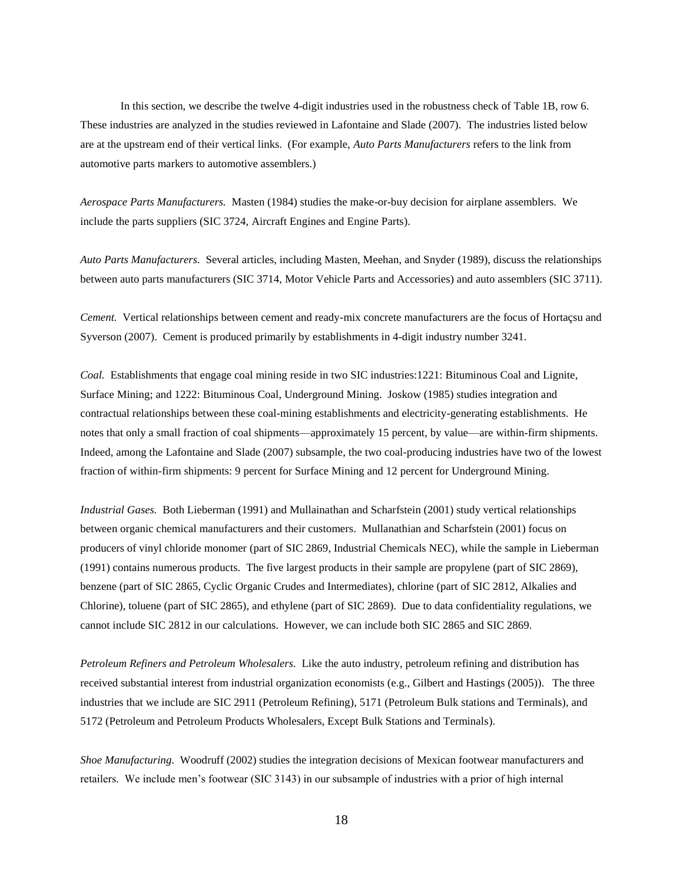In this section, we describe the twelve 4-digit industries used in the robustness check of Table 1B, row 6. These industries are analyzed in the studies reviewed in Lafontaine and Slade (2007). The industries listed below are at the upstream end of their vertical links. (For example, *Auto Parts Manufacturers* refers to the link from automotive parts markers to automotive assemblers.)

*Aerospace Parts Manufacturers.* Masten (1984) studies the make-or-buy decision for airplane assemblers. We include the parts suppliers (SIC 3724, Aircraft Engines and Engine Parts).

*Auto Parts Manufacturers.* Several articles, including Masten, Meehan, and Snyder (1989), discuss the relationships between auto parts manufacturers (SIC 3714, Motor Vehicle Parts and Accessories) and auto assemblers (SIC 3711).

*Cement.* Vertical relationships between cement and ready-mix concrete manufacturers are the focus of Hortaçsu and Syverson (2007). Cement is produced primarily by establishments in 4-digit industry number 3241.

*Coal.* Establishments that engage coal mining reside in two SIC industries:1221: Bituminous Coal and Lignite, Surface Mining; and 1222: Bituminous Coal, Underground Mining. Joskow (1985) studies integration and contractual relationships between these coal-mining establishments and electricity-generating establishments. He notes that only a small fraction of coal shipments—approximately 15 percent, by value—are within-firm shipments. Indeed, among the Lafontaine and Slade (2007) subsample, the two coal-producing industries have two of the lowest fraction of within-firm shipments: 9 percent for Surface Mining and 12 percent for Underground Mining.

*Industrial Gases.* Both Lieberman (1991) and Mullainathan and Scharfstein (2001) study vertical relationships between organic chemical manufacturers and their customers. Mullanathian and Scharfstein (2001) focus on producers of vinyl chloride monomer (part of SIC 2869, Industrial Chemicals NEC), while the sample in Lieberman (1991) contains numerous products. The five largest products in their sample are propylene (part of SIC 2869), benzene (part of SIC 2865, Cyclic Organic Crudes and Intermediates), chlorine (part of SIC 2812, Alkalies and Chlorine), toluene (part of SIC 2865), and ethylene (part of SIC 2869). Due to data confidentiality regulations, we cannot include SIC 2812 in our calculations. However, we can include both SIC 2865 and SIC 2869.

*Petroleum Refiners and Petroleum Wholesalers.* Like the auto industry, petroleum refining and distribution has received substantial interest from industrial organization economists (e.g., Gilbert and Hastings (2005)). The three industries that we include are SIC 2911 (Petroleum Refining), 5171 (Petroleum Bulk stations and Terminals), and 5172 (Petroleum and Petroleum Products Wholesalers, Except Bulk Stations and Terminals).

*Shoe Manufacturing.* Woodruff (2002) studies the integration decisions of Mexican footwear manufacturers and retailers. We include men's footwear (SIC 3143) in our subsample of industries with a prior of high internal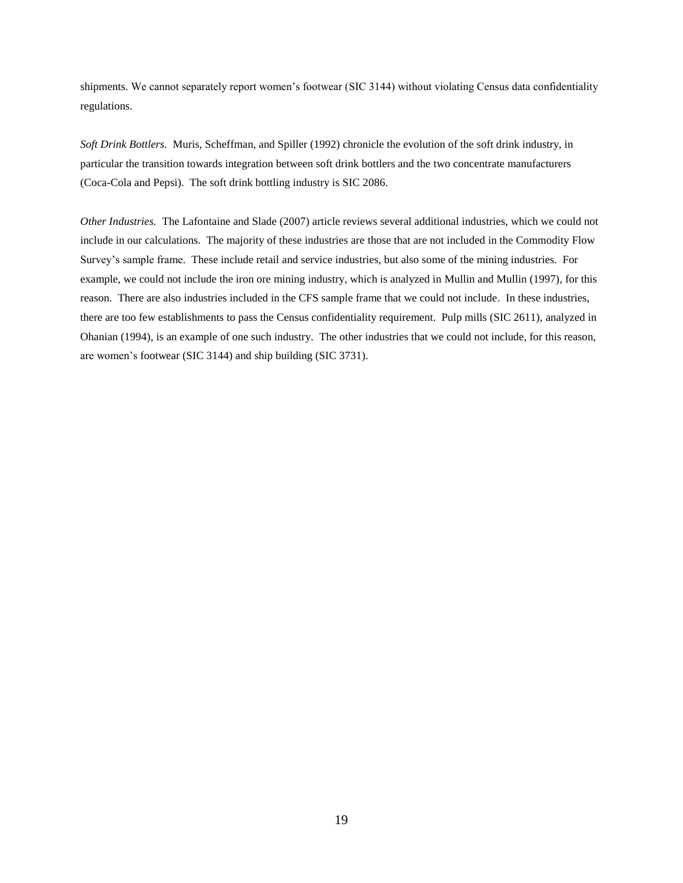shipments. We cannot separately report women's footwear (SIC 3144) without violating Census data confidentiality regulations.

*Soft Drink Bottlers.* Muris, Scheffman, and Spiller (1992) chronicle the evolution of the soft drink industry, in particular the transition towards integration between soft drink bottlers and the two concentrate manufacturers (Coca-Cola and Pepsi). The soft drink bottling industry is SIC 2086.

*Other Industries.* The Lafontaine and Slade (2007) article reviews several additional industries, which we could not include in our calculations. The majority of these industries are those that are not included in the Commodity Flow Survey's sample frame. These include retail and service industries, but also some of the mining industries. For example, we could not include the iron ore mining industry, which is analyzed in Mullin and Mullin (1997), for this reason. There are also industries included in the CFS sample frame that we could not include. In these industries, there are too few establishments to pass the Census confidentiality requirement. Pulp mills (SIC 2611), analyzed in Ohanian (1994), is an example of one such industry. The other industries that we could not include, for this reason, are women's footwear (SIC 3144) and ship building (SIC 3731).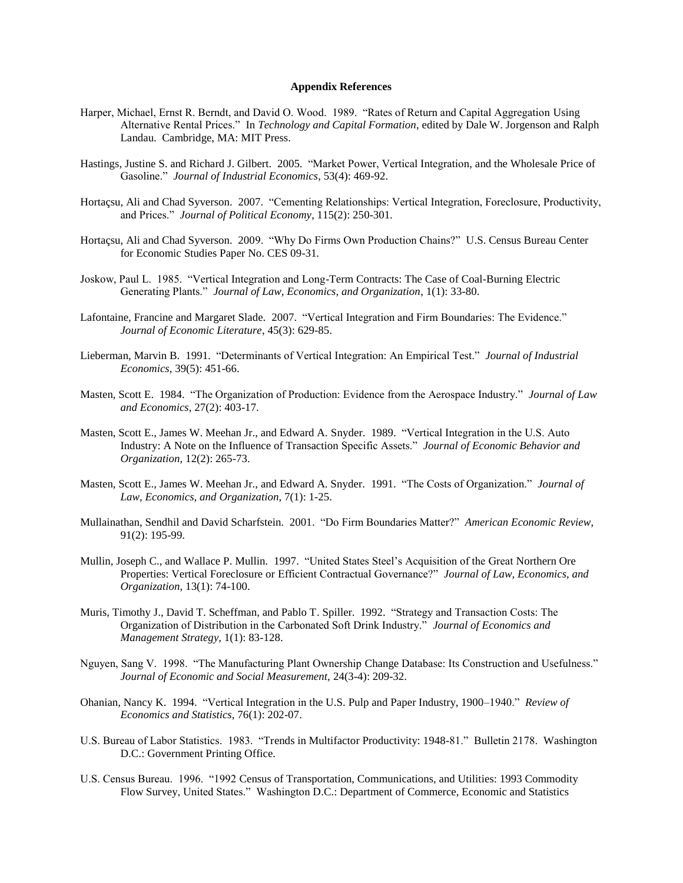#### **Appendix References**

- Harper, Michael, Ernst R. Berndt, and David O. Wood. 1989. "Rates of Return and Capital Aggregation Using Alternative Rental Prices." In *Technology and Capital Formation*, edited by Dale W. Jorgenson and Ralph Landau. Cambridge, MA: MIT Press.
- Hastings, Justine S. and Richard J. Gilbert. 2005. "Market Power, Vertical Integration, and the Wholesale Price of Gasoline." *Journal of Industrial Economics*, 53(4): 469-92.
- Hortaçsu, Ali and Chad Syverson. 2007. "Cementing Relationships: Vertical Integration, Foreclosure, Productivity, and Prices." *Journal of Political Economy*, 115(2): 250-301.
- Hortaçsu, Ali and Chad Syverson. 2009. "Why Do Firms Own Production Chains?" U.S. Census Bureau Center for Economic Studies Paper No. CES 09-31*.*
- Joskow, Paul L. 1985. "Vertical Integration and Long-Term Contracts: The Case of Coal-Burning Electric Generating Plants." *Journal of Law, Economics, and Organization*, 1(1): 33-80.
- Lafontaine, Francine and Margaret Slade. 2007. "Vertical Integration and Firm Boundaries: The Evidence." *Journal of Economic Literature*, 45(3): 629-85.
- Lieberman, Marvin B. 1991. "Determinants of Vertical Integration: An Empirical Test." *Journal of Industrial Economics*, 39(5): 451-66.
- Masten, Scott E. 1984. "The Organization of Production: Evidence from the Aerospace Industry." *Journal of Law and Economics*, 27(2): 403-17.
- Masten, Scott E., James W. Meehan Jr., and Edward A. Snyder. 1989. "Vertical Integration in the U.S. Auto Industry: A Note on the Influence of Transaction Specific Assets." *Journal of Economic Behavior and Organization*, 12(2): 265-73.
- Masten, Scott E., James W. Meehan Jr., and Edward A. Snyder. 1991. "The Costs of Organization." *Journal of Law, Economics, and Organization*, 7(1): 1-25.
- Mullainathan, Sendhil and David Scharfstein. 2001. "Do Firm Boundaries Matter?" *American Economic Review*, 91(2): 195-99.
- Mullin, Joseph C., and Wallace P. Mullin. 1997. "United States Steel's Acquisition of the Great Northern Ore Properties: Vertical Foreclosure or Efficient Contractual Governance?" *Journal of Law, Economics, and Organization*, 13(1): 74-100.
- Muris, Timothy J., David T. Scheffman, and Pablo T. Spiller. 1992. "Strategy and Transaction Costs: The Organization of Distribution in the Carbonated Soft Drink Industry." *Journal of Economics and Management Strategy*, 1(1): 83-128.
- Nguyen, Sang V. 1998. "The Manufacturing Plant Ownership Change Database: Its Construction and Usefulness." *Journal of Economic and Social Measurement,* 24(3-4): 209-32.
- Ohanian, Nancy K. 1994. "Vertical Integration in the U.S. Pulp and Paper Industry, 1900–1940." *Review of Economics and Statistics*, 76(1): 202-07.
- U.S. Bureau of Labor Statistics. 1983. "Trends in Multifactor Productivity: 1948-81." Bulletin 2178. Washington D.C.: Government Printing Office.
- U.S. Census Bureau. 1996. "1992 Census of Transportation, Communications, and Utilities: 1993 Commodity Flow Survey, United States." Washington D.C.: Department of Commerce, Economic and Statistics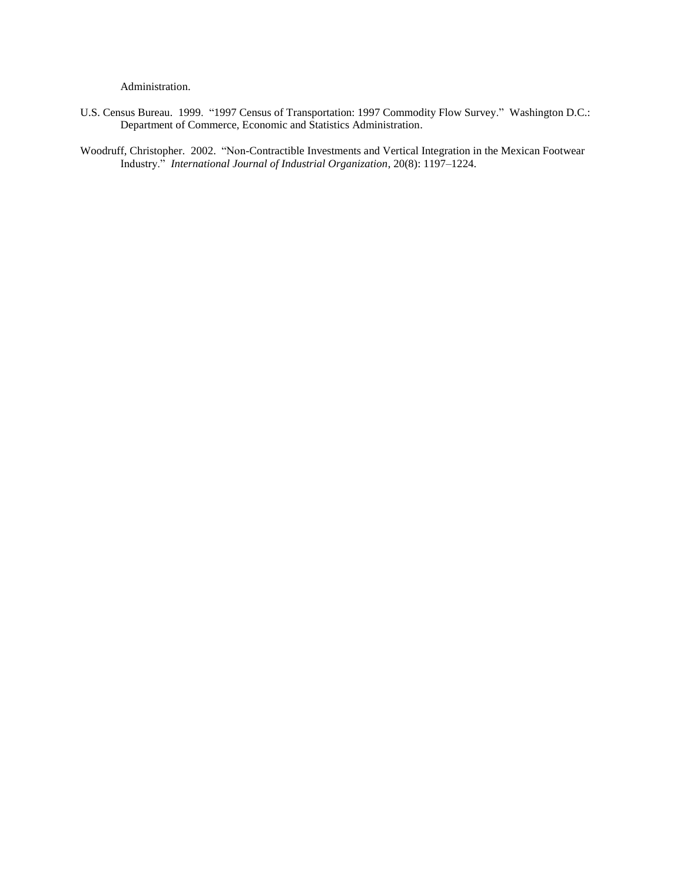Administration.

U.S. Census Bureau. 1999. "1997 Census of Transportation: 1997 Commodity Flow Survey." Washington D.C.: Department of Commerce, Economic and Statistics Administration.

Woodruff, Christopher. 2002. "Non-Contractible Investments and Vertical Integration in the Mexican Footwear Industry." *International Journal of Industrial Organization*, 20(8): 1197–1224.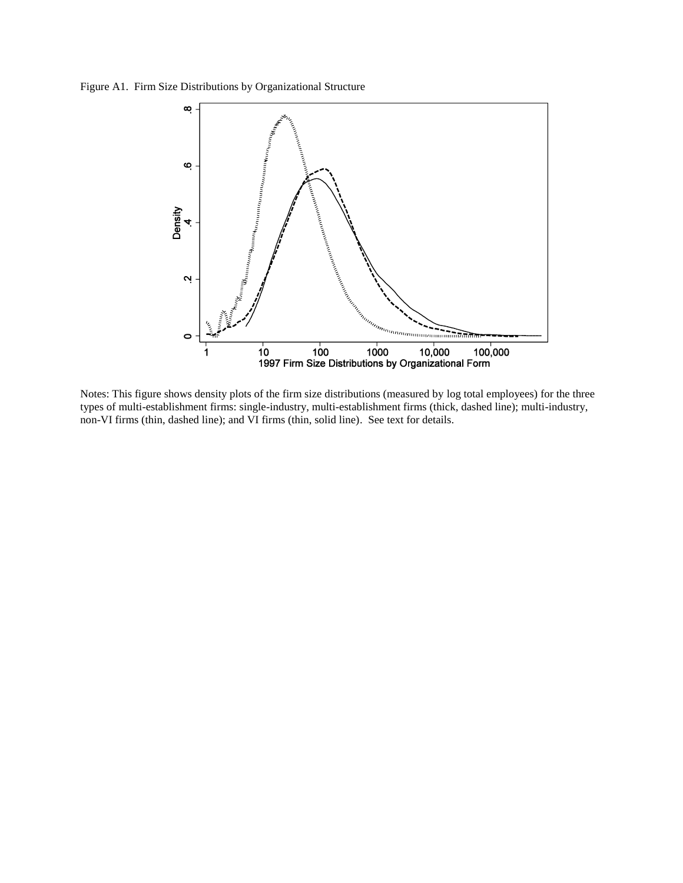Figure A1. Firm Size Distributions by Organizational Structure



Notes: This figure shows density plots of the firm size distributions (measured by log total employees) for the three types of multi-establishment firms: single-industry, multi-establishment firms (thick, dashed line); multi-industry, non-VI firms (thin, dashed line); and VI firms (thin, solid line). See text for details.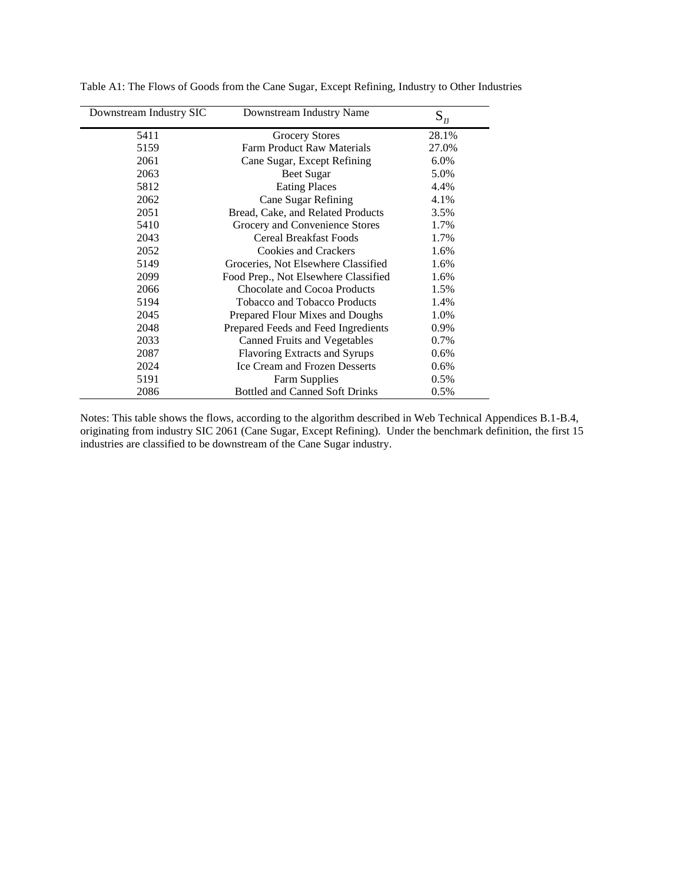| Downstream Industry SIC | Downstream Industry Name              | $S_{I}$ |
|-------------------------|---------------------------------------|---------|
| 5411                    | Grocery Stores                        | 28.1%   |
| 5159                    | <b>Farm Product Raw Materials</b>     | 27.0%   |
| 2061                    | Cane Sugar, Except Refining           | 6.0%    |
| 2063                    | Beet Sugar                            | 5.0%    |
| 5812                    | <b>Eating Places</b>                  | 4.4%    |
| 2062                    | Cane Sugar Refining                   | 4.1%    |
| 2051                    | Bread, Cake, and Related Products     | 3.5%    |
| 5410                    | Grocery and Convenience Stores        | 1.7%    |
| 2043                    | Cereal Breakfast Foods                | 1.7%    |
| 2052                    | <b>Cookies and Crackers</b>           | 1.6%    |
| 5149                    | Groceries, Not Elsewhere Classified   | 1.6%    |
| 2099                    | Food Prep., Not Elsewhere Classified  | 1.6%    |
| 2066                    | Chocolate and Cocoa Products          | 1.5%    |
| 5194                    | Tobacco and Tobacco Products          | 1.4%    |
| 2045                    | Prepared Flour Mixes and Doughs       | 1.0%    |
| 2048                    | Prepared Feeds and Feed Ingredients   | 0.9%    |
| 2033                    | <b>Canned Fruits and Vegetables</b>   | 0.7%    |
| 2087                    | Flavoring Extracts and Syrups         | 0.6%    |
| 2024                    | <b>Ice Cream and Frozen Desserts</b>  | $0.6\%$ |
| 5191                    | <b>Farm Supplies</b>                  | 0.5%    |
| 2086                    | <b>Bottled and Canned Soft Drinks</b> | 0.5%    |

Table A1: The Flows of Goods from the Cane Sugar, Except Refining, Industry to Other Industries

Notes: This table shows the flows, according to the algorithm described in Web Technical Appendices B.1-B.4, originating from industry SIC 2061 (Cane Sugar, Except Refining). Under the benchmark definition, the first 15 industries are classified to be downstream of the Cane Sugar industry.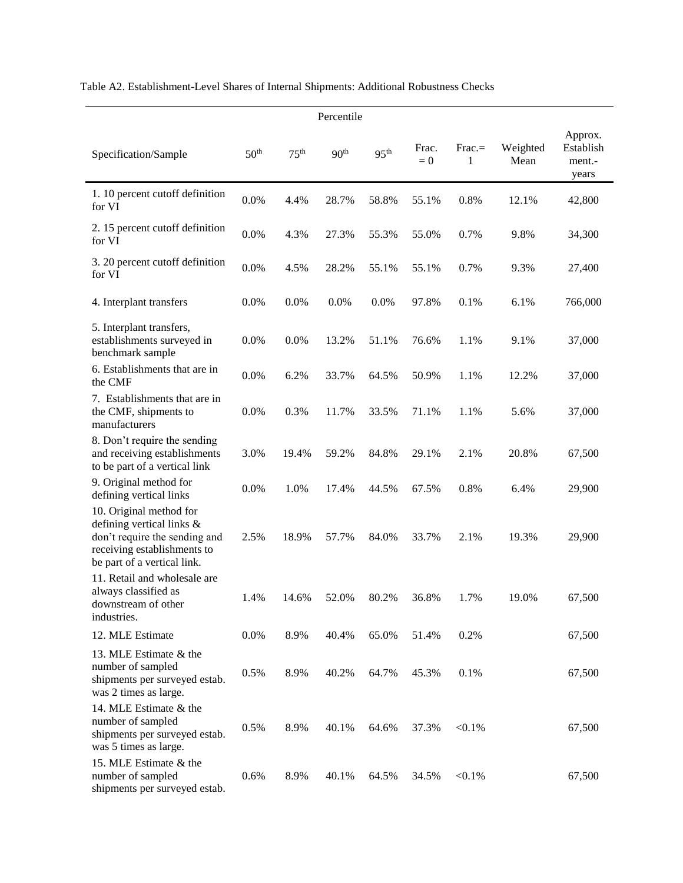|                                                                                                                                                     |                  |                  | Percentile       |                  |                |               |                  |                                         |
|-----------------------------------------------------------------------------------------------------------------------------------------------------|------------------|------------------|------------------|------------------|----------------|---------------|------------------|-----------------------------------------|
| Specification/Sample                                                                                                                                | 50 <sup>th</sup> | 75 <sup>th</sup> | 90 <sup>th</sup> | 95 <sup>th</sup> | Frac.<br>$= 0$ | $Frac =$<br>1 | Weighted<br>Mean | Approx.<br>Establish<br>ment.-<br>years |
| 1.10 percent cutoff definition<br>for VI                                                                                                            | 0.0%             | 4.4%             | 28.7%            | 58.8%            | 55.1%          | 0.8%          | 12.1%            | 42,800                                  |
| 2. 15 percent cutoff definition<br>for VI                                                                                                           | 0.0%             | 4.3%             | 27.3%            | 55.3%            | 55.0%          | 0.7%          | 9.8%             | 34,300                                  |
| 3. 20 percent cutoff definition<br>for VI                                                                                                           | 0.0%             | 4.5%             | 28.2%            | 55.1%            | 55.1%          | 0.7%          | 9.3%             | 27,400                                  |
| 4. Interplant transfers                                                                                                                             | 0.0%             | 0.0%             | 0.0%             | 0.0%             | 97.8%          | 0.1%          | 6.1%             | 766,000                                 |
| 5. Interplant transfers,<br>establishments surveyed in<br>benchmark sample                                                                          | $0.0\%$          | 0.0%             | 13.2%            | 51.1%            | 76.6%          | 1.1%          | 9.1%             | 37,000                                  |
| 6. Establishments that are in<br>the CMF                                                                                                            | 0.0%             | 6.2%             | 33.7%            | 64.5%            | 50.9%          | 1.1%          | 12.2%            | 37,000                                  |
| 7. Establishments that are in<br>the CMF, shipments to<br>manufacturers                                                                             | 0.0%             | 0.3%             | 11.7%            | 33.5%            | 71.1%          | 1.1%          | 5.6%             | 37,000                                  |
| 8. Don't require the sending<br>and receiving establishments<br>to be part of a vertical link                                                       | 3.0%             | 19.4%            | 59.2%            | 84.8%            | 29.1%          | 2.1%          | 20.8%            | 67,500                                  |
| 9. Original method for<br>defining vertical links                                                                                                   | 0.0%             | 1.0%             | 17.4%            | 44.5%            | 67.5%          | 0.8%          | 6.4%             | 29,900                                  |
| 10. Original method for<br>defining vertical links &<br>don't require the sending and<br>receiving establishments to<br>be part of a vertical link. | 2.5%             | 18.9%            | 57.7%            | 84.0%            | 33.7%          | 2.1%          | 19.3%            | 29,900                                  |
| 11. Retail and wholesale are<br>always classified as<br>downstream of other<br>industries.                                                          | 1.4%             | 14.6%            | 52.0%            | 80.2%            | 36.8%          | 1.7%          | 19.0%            | 67,500                                  |
| 12. MLE Estimate                                                                                                                                    | 0.0%             | 8.9%             | 40.4%            | 65.0%            | 51.4%          | 0.2%          |                  | 67,500                                  |
| 13. MLE Estimate & the<br>number of sampled<br>shipments per surveyed estab.<br>was 2 times as large.                                               | 0.5%             | 8.9%             | 40.2%            | 64.7%            | 45.3%          | 0.1%          |                  | 67,500                                  |
| 14. MLE Estimate & the<br>number of sampled<br>shipments per surveyed estab.<br>was 5 times as large.                                               | 0.5%             | 8.9%             | 40.1%            | 64.6%            | 37.3%          | $< 0.1\%$     |                  | 67,500                                  |
| 15. MLE Estimate & the<br>number of sampled<br>shipments per surveyed estab.                                                                        | 0.6%             | 8.9%             | 40.1%            | 64.5%            | 34.5%          | $< 0.1\%$     |                  | 67,500                                  |

# Table A2. Establishment-Level Shares of Internal Shipments: Additional Robustness Checks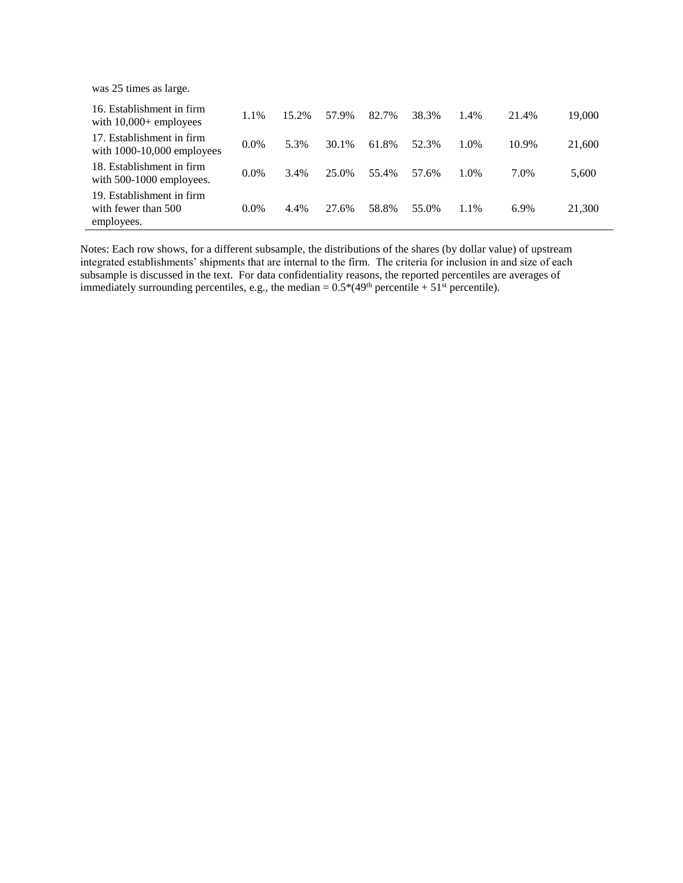was 25 times as large.

| 16. Establishment in firm<br>with $10,000+$ employees          | 1.1%    | 15.2% | 57.9% | 82.7% | 38.3% | 1.4% | 21.4% | 19,000 |
|----------------------------------------------------------------|---------|-------|-------|-------|-------|------|-------|--------|
| 17. Establishment in firm<br>with $1000-10,000$ employees      | $0.0\%$ | 5.3%  | 30.1% | 61.8% | 52.3% | 1.0% | 10.9% | 21,600 |
| 18. Establishment in firm<br>with 500-1000 employees.          | $0.0\%$ | 3.4%  | 25.0% | 55.4% | 57.6% | 1.0% | 7.0%  | 5,600  |
| 19. Establishment in firm<br>with fewer than 500<br>employees. | $0.0\%$ | 4.4%  | 27.6% | 58.8% | 55.0% | 1.1% | 6.9%  | 21,300 |

Notes: Each row shows, for a different subsample, the distributions of the shares (by dollar value) of upstream integrated establishments' shipments that are internal to the firm. The criteria for inclusion in and size of each subsample is discussed in the text. For data confidentiality reasons, the reported percentiles are averages of immediately surrounding percentiles, e.g., the median =  $0.5*(49<sup>th</sup>$  percentile +  $51<sup>st</sup>$  percentile).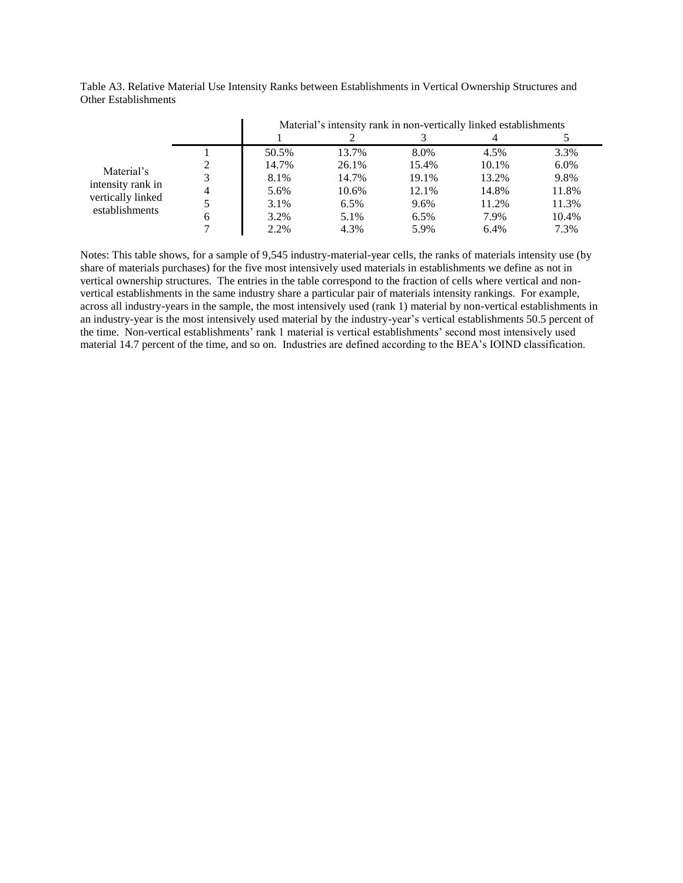|                   |   |       | Material's intensity rank in non-vertically linked establishments |       |         |       |
|-------------------|---|-------|-------------------------------------------------------------------|-------|---------|-------|
|                   |   |       |                                                                   |       |         |       |
|                   |   | 50.5% | 13.7%                                                             | 8.0%  | 4.5%    | 3.3%  |
| Material's        |   | 14.7% | 26.1%                                                             | 15.4% | 10.1%   | 6.0%  |
| intensity rank in |   | 8.1%  | 14.7%                                                             | 19.1% | 13.2%   | 9.8%  |
| vertically linked | 4 | 5.6%  | 10.6%                                                             | 12.1% | 14.8%   | 11.8% |
| establishments    |   | 3.1%  | 6.5%                                                              | 9.6%  | 11.2%   | 11.3% |
|                   | 6 | 3.2%  | 5.1%                                                              | 6.5%  | 7.9%    | 10.4% |
|                   |   | 2.2%  | 4.3%                                                              | 5.9%  | $6.4\%$ | 7.3%  |

Table A3. Relative Material Use Intensity Ranks between Establishments in Vertical Ownership Structures and Other Establishments

Notes: This table shows, for a sample of 9,545 industry-material-year cells, the ranks of materials intensity use (by share of materials purchases) for the five most intensively used materials in establishments we define as not in vertical ownership structures. The entries in the table correspond to the fraction of cells where vertical and nonvertical establishments in the same industry share a particular pair of materials intensity rankings. For example, across all industry-years in the sample, the most intensively used (rank 1) material by non-vertical establishments in an industry-year is the most intensively used material by the industry-year's vertical establishments 50.5 percent of the time. Non-vertical establishments' rank 1 material is vertical establishments' second most intensively used material 14.7 percent of the time, and so on. Industries are defined according to the BEA's IOIND classification.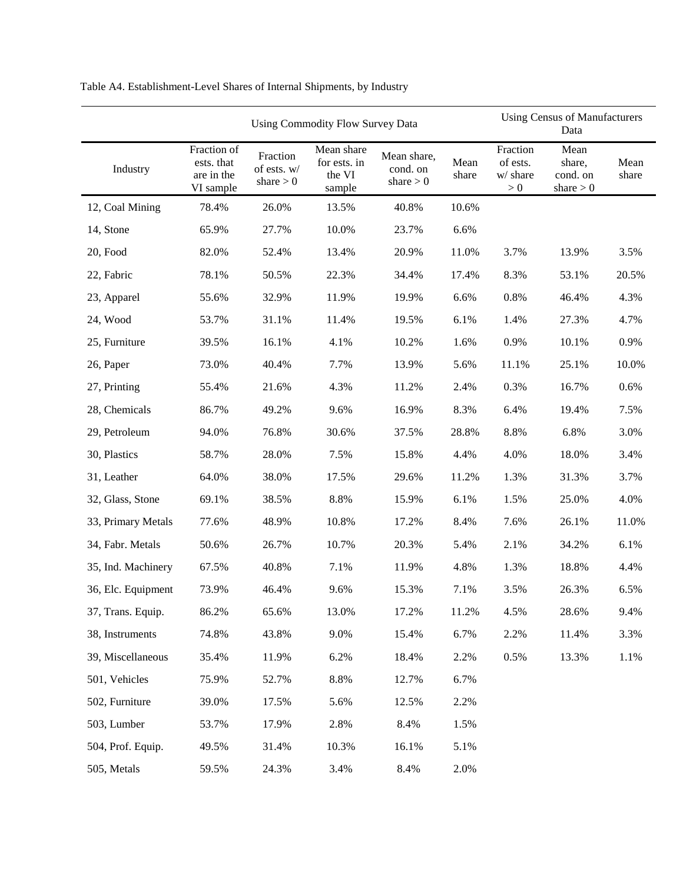|                    |                                                      | <b>Using Commodity Flow Survey Data</b> |                                                |                                        |               |                                           | <b>Using Census of Manufacturers</b><br>Data |               |
|--------------------|------------------------------------------------------|-----------------------------------------|------------------------------------------------|----------------------------------------|---------------|-------------------------------------------|----------------------------------------------|---------------|
| Industry           | Fraction of<br>ests. that<br>are in the<br>VI sample | Fraction<br>of ests. w/<br>share $> 0$  | Mean share<br>for ests. in<br>the VI<br>sample | Mean share,<br>cond. on<br>share $> 0$ | Mean<br>share | Fraction<br>of ests.<br>w/ share<br>$> 0$ | Mean<br>share,<br>cond. on<br>share $> 0$    | Mean<br>share |
| 12, Coal Mining    | 78.4%                                                | 26.0%                                   | 13.5%                                          | 40.8%                                  | 10.6%         |                                           |                                              |               |
| 14, Stone          | 65.9%                                                | 27.7%                                   | 10.0%                                          | 23.7%                                  | 6.6%          |                                           |                                              |               |
| 20, Food           | 82.0%                                                | 52.4%                                   | 13.4%                                          | 20.9%                                  | 11.0%         | 3.7%                                      | 13.9%                                        | 3.5%          |
| 22, Fabric         | 78.1%                                                | 50.5%                                   | 22.3%                                          | 34.4%                                  | 17.4%         | 8.3%                                      | 53.1%                                        | 20.5%         |
| 23, Apparel        | 55.6%                                                | 32.9%                                   | 11.9%                                          | 19.9%                                  | 6.6%          | 0.8%                                      | 46.4%                                        | 4.3%          |
| 24, Wood           | 53.7%                                                | 31.1%                                   | 11.4%                                          | 19.5%                                  | 6.1%          | 1.4%                                      | 27.3%                                        | 4.7%          |
| 25, Furniture      | 39.5%                                                | 16.1%                                   | 4.1%                                           | 10.2%                                  | 1.6%          | 0.9%                                      | 10.1%                                        | 0.9%          |
| 26, Paper          | 73.0%                                                | 40.4%                                   | 7.7%                                           | 13.9%                                  | 5.6%          | 11.1%                                     | 25.1%                                        | 10.0%         |
| 27, Printing       | 55.4%                                                | 21.6%                                   | 4.3%                                           | 11.2%                                  | 2.4%          | 0.3%                                      | 16.7%                                        | 0.6%          |
| 28, Chemicals      | 86.7%                                                | 49.2%                                   | 9.6%                                           | 16.9%                                  | 8.3%          | 6.4%                                      | 19.4%                                        | 7.5%          |
| 29, Petroleum      | 94.0%                                                | 76.8%                                   | 30.6%                                          | 37.5%                                  | 28.8%         | 8.8%                                      | 6.8%                                         | 3.0%          |
| 30, Plastics       | 58.7%                                                | 28.0%                                   | 7.5%                                           | 15.8%                                  | 4.4%          | 4.0%                                      | 18.0%                                        | 3.4%          |
| 31, Leather        | 64.0%                                                | 38.0%                                   | 17.5%                                          | 29.6%                                  | 11.2%         | 1.3%                                      | 31.3%                                        | 3.7%          |
| 32, Glass, Stone   | 69.1%                                                | 38.5%                                   | 8.8%                                           | 15.9%                                  | 6.1%          | 1.5%                                      | 25.0%                                        | 4.0%          |
| 33, Primary Metals | 77.6%                                                | 48.9%                                   | 10.8%                                          | 17.2%                                  | 8.4%          | 7.6%                                      | 26.1%                                        | 11.0%         |
| 34, Fabr. Metals   | 50.6%                                                | 26.7%                                   | 10.7%                                          | 20.3%                                  | 5.4%          | 2.1%                                      | 34.2%                                        | 6.1%          |
| 35, Ind. Machinery | 67.5%                                                | 40.8%                                   | 7.1%                                           | 11.9%                                  | 4.8%          | 1.3%                                      | 18.8%                                        | 4.4%          |
| 36, Elc. Equipment | 73.9%                                                | 46.4%                                   | 9.6%                                           | 15.3%                                  | 7.1%          | 3.5%                                      | 26.3%                                        | 6.5%          |
| 37, Trans. Equip.  | 86.2%                                                | 65.6%                                   | 13.0%                                          | 17.2%                                  | 11.2%         | 4.5%                                      | 28.6%                                        | 9.4%          |
| 38, Instruments    | 74.8%                                                | 43.8%                                   | 9.0%                                           | 15.4%                                  | 6.7%          | 2.2%                                      | 11.4%                                        | 3.3%          |
| 39, Miscellaneous  | 35.4%                                                | 11.9%                                   | 6.2%                                           | 18.4%                                  | 2.2%          | 0.5%                                      | 13.3%                                        | 1.1%          |
| 501, Vehicles      | 75.9%                                                | 52.7%                                   | 8.8%                                           | 12.7%                                  | 6.7%          |                                           |                                              |               |
| 502, Furniture     | 39.0%                                                | 17.5%                                   | 5.6%                                           | 12.5%                                  | 2.2%          |                                           |                                              |               |
| 503, Lumber        | 53.7%                                                | 17.9%                                   | 2.8%                                           | 8.4%                                   | 1.5%          |                                           |                                              |               |
| 504, Prof. Equip.  | 49.5%                                                | 31.4%                                   | 10.3%                                          | 16.1%                                  | 5.1%          |                                           |                                              |               |
| 505, Metals        | 59.5%                                                | 24.3%                                   | 3.4%                                           | 8.4%                                   | 2.0%          |                                           |                                              |               |

Table A4. Establishment-Level Shares of Internal Shipments, by Industry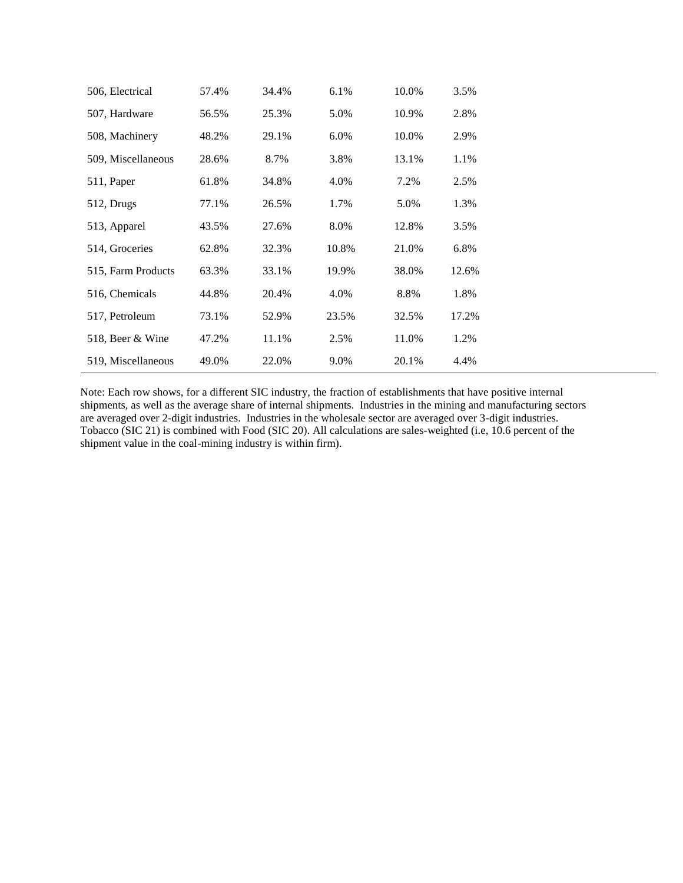| 506, Electrical    | 57.4% | 34.4% | 6.1%  | 10.0% | 3.5%  |  |
|--------------------|-------|-------|-------|-------|-------|--|
| 507, Hardware      | 56.5% | 25.3% | 5.0%  | 10.9% | 2.8%  |  |
| 508, Machinery     | 48.2% | 29.1% | 6.0%  | 10.0% | 2.9%  |  |
| 509, Miscellaneous | 28.6% | 8.7%  | 3.8%  | 13.1% | 1.1%  |  |
| 511, Paper         | 61.8% | 34.8% | 4.0%  | 7.2%  | 2.5%  |  |
| 512, Drugs         | 77.1% | 26.5% | 1.7%  | 5.0%  | 1.3%  |  |
| 513, Apparel       | 43.5% | 27.6% | 8.0%  | 12.8% | 3.5%  |  |
| 514, Groceries     | 62.8% | 32.3% | 10.8% | 21.0% | 6.8%  |  |
| 515, Farm Products | 63.3% | 33.1% | 19.9% | 38.0% | 12.6% |  |
| 516, Chemicals     | 44.8% | 20.4% | 4.0%  | 8.8%  | 1.8%  |  |
| 517, Petroleum     | 73.1% | 52.9% | 23.5% | 32.5% | 17.2% |  |
| 518, Beer & Wine   | 47.2% | 11.1% | 2.5%  | 11.0% | 1.2%  |  |
| 519, Miscellaneous | 49.0% | 22.0% | 9.0%  | 20.1% | 4.4%  |  |

Note: Each row shows, for a different SIC industry, the fraction of establishments that have positive internal shipments, as well as the average share of internal shipments. Industries in the mining and manufacturing sectors are averaged over 2-digit industries. Industries in the wholesale sector are averaged over 3-digit industries. Tobacco (SIC 21) is combined with Food (SIC 20). All calculations are sales-weighted (i.e, 10.6 percent of the shipment value in the coal-mining industry is within firm).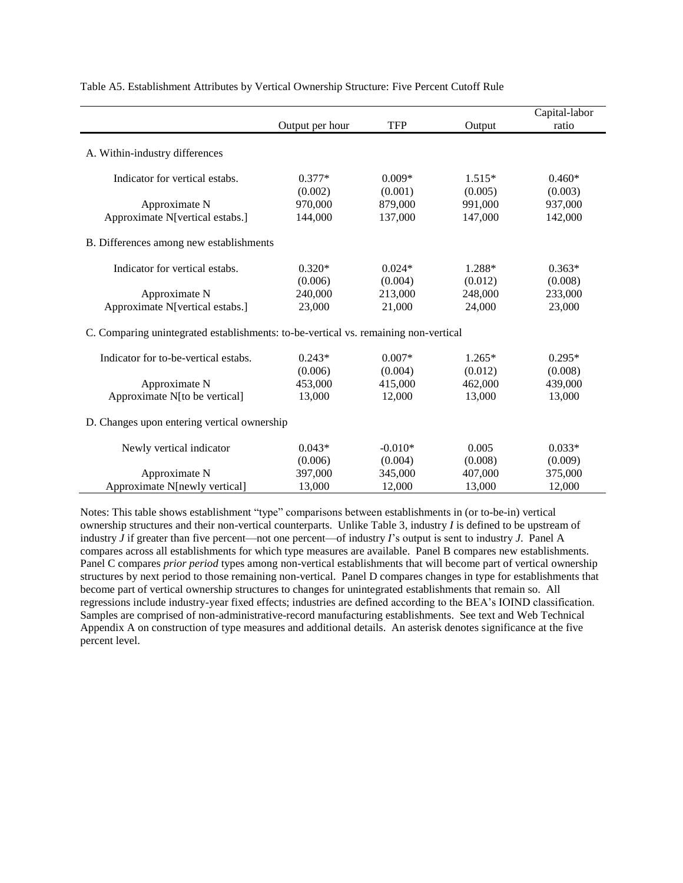|                                                                                     | Output per hour | <b>TFP</b> | Output   | Capital-labor<br>ratio |
|-------------------------------------------------------------------------------------|-----------------|------------|----------|------------------------|
| A. Within-industry differences                                                      |                 |            |          |                        |
| Indicator for vertical estabs.                                                      | $0.377*$        | $0.009*$   | $1.515*$ | $0.460*$               |
|                                                                                     | (0.002)         | (0.001)    | (0.005)  | (0.003)                |
| Approximate N                                                                       | 970,000         | 879,000    | 991,000  | 937,000                |
| Approximate N[vertical estabs.]                                                     | 144,000         | 137,000    | 147,000  | 142,000                |
| B. Differences among new establishments                                             |                 |            |          |                        |
| Indicator for vertical estabs.                                                      | $0.320*$        | $0.024*$   | 1.288*   | $0.363*$               |
|                                                                                     | (0.006)         | (0.004)    | (0.012)  | (0.008)                |
| Approximate N                                                                       | 240,000         | 213,000    | 248,000  | 233,000                |
| Approximate N[vertical estabs.]                                                     | 23,000          | 21,000     | 24,000   | 23,000                 |
| C. Comparing unintegrated establishments: to-be-vertical vs. remaining non-vertical |                 |            |          |                        |
| Indicator for to-be-vertical estabs.                                                | $0.243*$        | $0.007*$   | $1.265*$ | $0.295*$               |
|                                                                                     | (0.006)         | (0.004)    | (0.012)  | (0.008)                |
| Approximate N                                                                       | 453,000         | 415,000    | 462,000  | 439,000                |
| Approximate N[to be vertical]                                                       | 13,000          | 12,000     | 13,000   | 13,000                 |
| D. Changes upon entering vertical ownership                                         |                 |            |          |                        |
| Newly vertical indicator                                                            | $0.043*$        | $-0.010*$  | 0.005    | $0.033*$               |
|                                                                                     | (0.006)         | (0.004)    | (0.008)  | (0.009)                |
| Approximate N                                                                       | 397,000         | 345,000    | 407,000  | 375,000                |
| Approximate N[newly vertical]                                                       | 13,000          | 12,000     | 13,000   | 12,000                 |

Table A5. Establishment Attributes by Vertical Ownership Structure: Five Percent Cutoff Rule

Notes: This table shows establishment "type" comparisons between establishments in (or to-be-in) vertical ownership structures and their non-vertical counterparts. Unlike Table 3, industry *I* is defined to be upstream of industry *J* if greater than five percent—not one percent—of industry *I*'s output is sent to industry *J*. Panel A compares across all establishments for which type measures are available. Panel B compares new establishments. Panel C compares *prior period* types among non-vertical establishments that will become part of vertical ownership structures by next period to those remaining non-vertical. Panel D compares changes in type for establishments that become part of vertical ownership structures to changes for unintegrated establishments that remain so. All regressions include industry-year fixed effects; industries are defined according to the BEA's IOIND classification. Samples are comprised of non-administrative-record manufacturing establishments. See text and Web Technical Appendix A on construction of type measures and additional details. An asterisk denotes significance at the five percent level.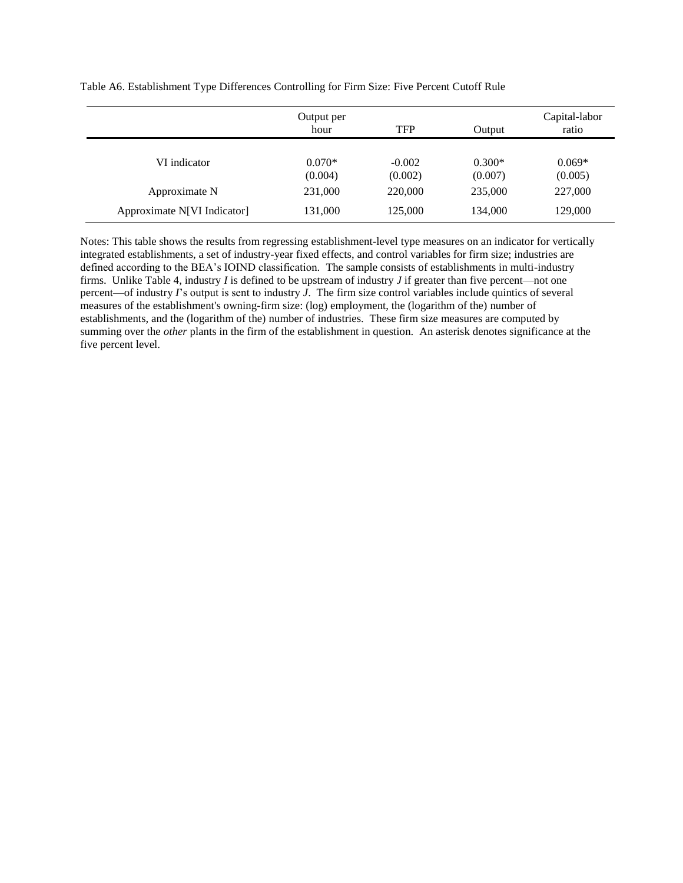|                             | Output per<br>hour  | <b>TFP</b>          | Output              | Capital-labor<br>ratio |
|-----------------------------|---------------------|---------------------|---------------------|------------------------|
| VI indicator                | $0.070*$<br>(0.004) | $-0.002$<br>(0.002) | $0.300*$<br>(0.007) | $0.069*$<br>(0.005)    |
| Approximate N               | 231,000             | 220,000             | 235,000             | 227,000                |
| Approximate N[VI Indicator] | 131,000             | 125,000             | 134,000             | 129,000                |

Table A6. Establishment Type Differences Controlling for Firm Size: Five Percent Cutoff Rule

Notes: This table shows the results from regressing establishment-level type measures on an indicator for vertically integrated establishments, a set of industry-year fixed effects, and control variables for firm size; industries are defined according to the BEA's IOIND classification. The sample consists of establishments in multi-industry firms. Unlike Table 4, industry *I* is defined to be upstream of industry *J* if greater than five percent—not one percent—of industry *I*'s output is sent to industry *J*. The firm size control variables include quintics of several measures of the establishment's owning-firm size: (log) employment, the (logarithm of the) number of establishments, and the (logarithm of the) number of industries. These firm size measures are computed by summing over the *other* plants in the firm of the establishment in question. An asterisk denotes significance at the five percent level.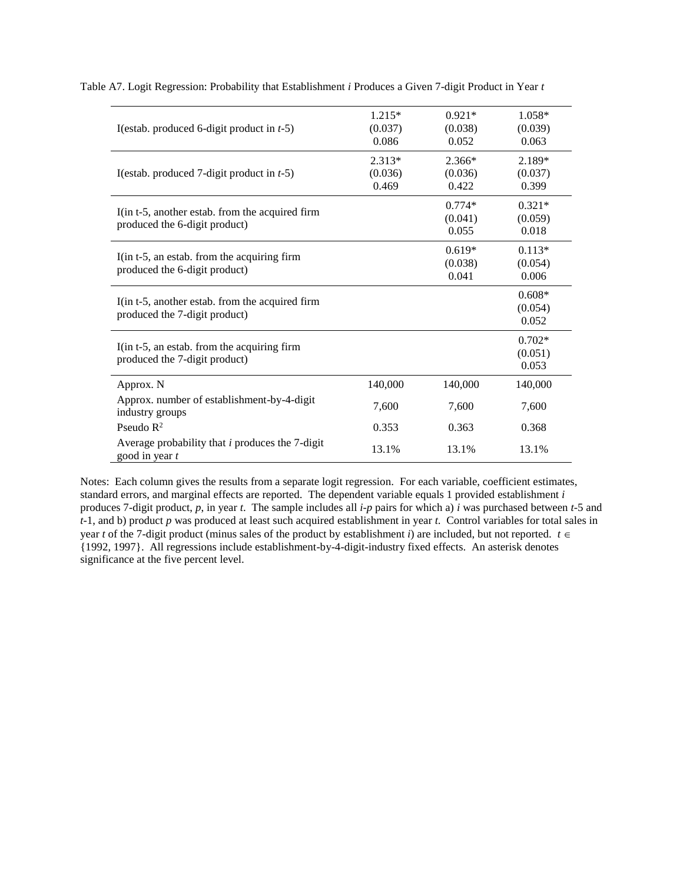| I(estab. produced 6-digit product in $t-5$ )                                     | $1.215*$<br>(0.037)<br>0.086 | $0.921*$<br>(0.038)<br>0.052 | 1.058*<br>(0.039)<br>0.063   |
|----------------------------------------------------------------------------------|------------------------------|------------------------------|------------------------------|
| I(estab. produced 7-digit product in $t-5$ )                                     | 2.313*<br>(0.036)<br>0.469   | 2.366*<br>(0.036)<br>0.422   | 2.189*<br>(0.037)<br>0.399   |
| I(in t-5, another estab. from the acquired firm<br>produced the 6-digit product) |                              | $0.774*$<br>(0.041)<br>0.055 | $0.321*$<br>(0.059)<br>0.018 |
| I(in t-5, an estab. from the acquiring firm<br>produced the 6-digit product)     |                              | $0.619*$<br>(0.038)<br>0.041 | $0.113*$<br>(0.054)<br>0.006 |
| I(in t-5, another estab. from the acquired firm<br>produced the 7-digit product) |                              |                              | $0.608*$<br>(0.054)<br>0.052 |
| I(in t-5, an estab. from the acquiring firm<br>produced the 7-digit product)     |                              |                              | $0.702*$<br>(0.051)<br>0.053 |
| Approx. N                                                                        | 140,000                      | 140,000                      | 140,000                      |
| Approx. number of establishment-by-4-digit<br>industry groups                    | 7,600                        | 7,600                        | 7,600                        |
| Pseudo $R^2$                                                                     | 0.353                        | 0.363                        | 0.368                        |
| Average probability that $i$ produces the 7-digit<br>good in year t              | 13.1%                        | 13.1%                        | 13.1%                        |

Table A7. Logit Regression: Probability that Establishment *i* Produces a Given 7-digit Product in Year *t*

Notes: Each column gives the results from a separate logit regression. For each variable, coefficient estimates, standard errors, and marginal effects are reported. The dependent variable equals 1 provided establishment *i* produces 7-digit product, *p*, in year *t*. The sample includes all *i*-*p* pairs for which a) *i* was purchased between *t*-5 and *t*-1, and b) product *p* was produced at least such acquired establishment in year *t*. Control variables for total sales in year *t* of the 7-digit product (minus sales of the product by establishment *i*) are included, but not reported.  $t \in$ {1992, 1997}. All regressions include establishment-by-4-digit-industry fixed effects. An asterisk denotes significance at the five percent level.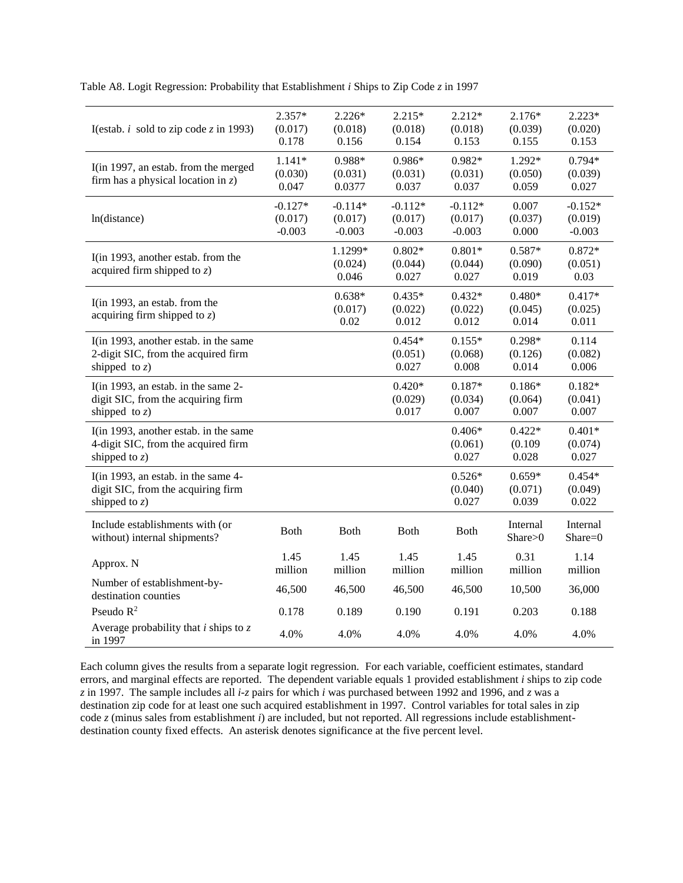Table A8. Logit Regression: Probability that Establishment *i* Ships to Zip Code *z* in 1997

| I(estab. <i>i</i> sold to zip code z in 1993)                                                    | $2.357*$<br>(0.017)<br>0.178     | $2.226*$<br>(0.018)<br>0.156     | $2.215*$<br>(0.018)<br>0.154     | $2.212*$<br>(0.018)<br>0.153     | $2.176*$<br>(0.039)<br>0.155 | $2.223*$<br>(0.020)<br>0.153     |
|--------------------------------------------------------------------------------------------------|----------------------------------|----------------------------------|----------------------------------|----------------------------------|------------------------------|----------------------------------|
| I(in 1997, an estab. from the merged<br>firm has a physical location in $z$ )                    | $1.141*$<br>(0.030)<br>0.047     | 0.988*<br>(0.031)<br>0.0377      | $0.986*$<br>(0.031)<br>0.037     | $0.982*$<br>(0.031)<br>0.037     | 1.292*<br>(0.050)<br>0.059   | $0.794*$<br>(0.039)<br>0.027     |
| ln(distance)                                                                                     | $-0.127*$<br>(0.017)<br>$-0.003$ | $-0.114*$<br>(0.017)<br>$-0.003$ | $-0.112*$<br>(0.017)<br>$-0.003$ | $-0.112*$<br>(0.017)<br>$-0.003$ | 0.007<br>(0.037)<br>0.000    | $-0.152*$<br>(0.019)<br>$-0.003$ |
| I(in 1993, another estab. from the<br>acquired firm shipped to $z$ )                             |                                  | 1.1299*<br>(0.024)<br>0.046      | $0.802*$<br>(0.044)<br>0.027     | $0.801*$<br>(0.044)<br>0.027     | $0.587*$<br>(0.090)<br>0.019 | $0.872*$<br>(0.051)<br>0.03      |
| I(in 1993, an estab. from the<br>acquiring firm shipped to $z$ )                                 |                                  | $0.638*$<br>(0.017)<br>0.02      | $0.435*$<br>(0.022)<br>0.012     | $0.432*$<br>(0.022)<br>0.012     | $0.480*$<br>(0.045)<br>0.014 | $0.417*$<br>(0.025)<br>0.011     |
| I(in 1993, another estab. in the same<br>2-digit SIC, from the acquired firm<br>shipped to $z$ ) |                                  |                                  | $0.454*$<br>(0.051)<br>0.027     | $0.155*$<br>(0.068)<br>0.008     | $0.298*$<br>(0.126)<br>0.014 | 0.114<br>(0.082)<br>0.006        |
| I(in 1993, an estab. in the same 2-<br>digit SIC, from the acquiring firm<br>shipped to $z$ )    |                                  |                                  | $0.420*$<br>(0.029)<br>0.017     | $0.187*$<br>(0.034)<br>0.007     | $0.186*$<br>(0.064)<br>0.007 | $0.182*$<br>(0.041)<br>0.007     |
| I(in 1993, another estab. in the same<br>4-digit SIC, from the acquired firm<br>shipped to $z$ ) |                                  |                                  |                                  | $0.406*$<br>(0.061)<br>0.027     | $0.422*$<br>(0.109)<br>0.028 | $0.401*$<br>(0.074)<br>0.027     |
| I(in 1993, an estab. in the same 4-<br>digit SIC, from the acquiring firm<br>shipped to $z$ )    |                                  |                                  |                                  | $0.526*$<br>(0.040)<br>0.027     | $0.659*$<br>(0.071)<br>0.039 | $0.454*$<br>(0.049)<br>0.022     |
| Include establishments with (or<br>without) internal shipments?                                  | <b>Both</b>                      | <b>Both</b>                      | <b>Both</b>                      | <b>Both</b>                      | Internal<br>Share>0          | Internal<br>Share=0              |
| Approx. N                                                                                        | 1.45<br>million                  | 1.45<br>million                  | 1.45<br>million                  | 1.45<br>million                  | 0.31<br>million              | 1.14<br>million                  |
| Number of establishment-by-<br>destination counties                                              | 46,500                           | 46,500                           | 46,500                           | 46,500                           | 10,500                       | 36,000                           |
| Pseudo $R^2$                                                                                     | 0.178                            | 0.189                            | 0.190                            | 0.191                            | 0.203                        | 0.188                            |
| Average probability that $i$ ships to $z$<br>in 1997                                             | 4.0%                             | 4.0%                             | 4.0%                             | 4.0%                             | 4.0%                         | 4.0%                             |

Each column gives the results from a separate logit regression. For each variable, coefficient estimates, standard errors, and marginal effects are reported. The dependent variable equals 1 provided establishment *i* ships to zip code *z* in 1997. The sample includes all *i*-*z* pairs for which *i* was purchased between 1992 and 1996, and *z* was a destination zip code for at least one such acquired establishment in 1997. Control variables for total sales in zip code *z* (minus sales from establishment *i*) are included, but not reported. All regressions include establishmentdestination county fixed effects. An asterisk denotes significance at the five percent level.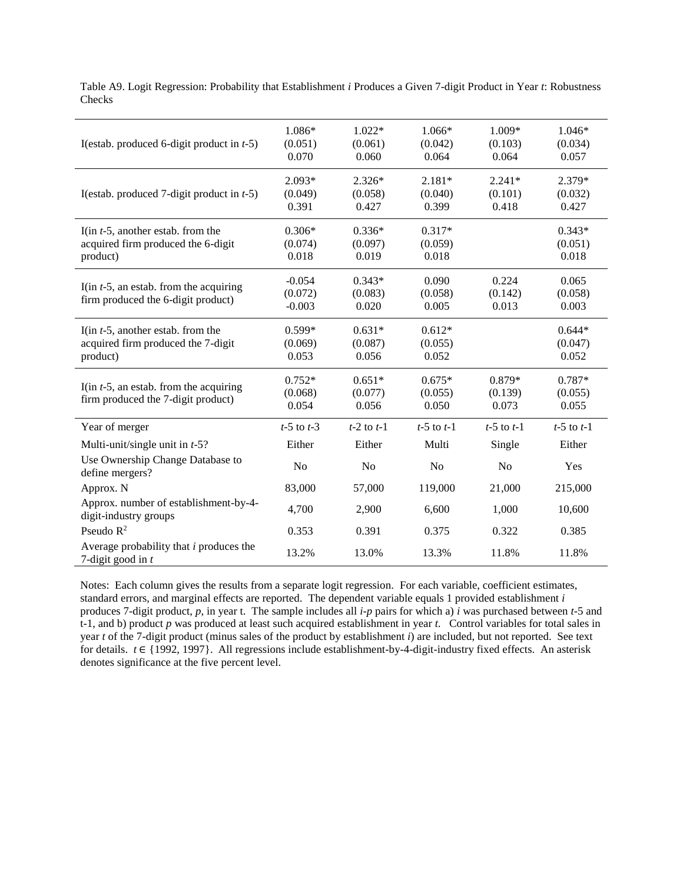| I(estab. produced 6-digit product in $t-5$ )                                           | 1.086*<br>(0.051)<br>0.070      | $1.022*$<br>(0.061)<br>0.060 | 1.066*<br>(0.042)<br>0.064   | 1.009*<br>(0.103)<br>0.064   | $1.046*$<br>(0.034)<br>0.057 |
|----------------------------------------------------------------------------------------|---------------------------------|------------------------------|------------------------------|------------------------------|------------------------------|
| I(estab. produced 7-digit product in $t-5$ )                                           | $2.093*$<br>(0.049)<br>0.391    | $2.326*$<br>(0.058)<br>0.427 | $2.181*$<br>(0.040)<br>0.399 | $2.241*$<br>(0.101)<br>0.418 | 2.379*<br>(0.032)<br>0.427   |
| I(in $t$ -5, another estab. from the<br>acquired firm produced the 6-digit<br>product) | $0.306*$<br>(0.074)<br>0.018    | $0.336*$<br>(0.097)<br>0.019 | $0.317*$<br>(0.059)<br>0.018 |                              | $0.343*$<br>(0.051)<br>0.018 |
| I(in $t-5$ , an estab. from the acquiring<br>firm produced the 6-digit product)        | $-0.054$<br>(0.072)<br>$-0.003$ | $0.343*$<br>(0.083)<br>0.020 | 0.090<br>(0.058)<br>0.005    | 0.224<br>(0.142)<br>0.013    | 0.065<br>(0.058)<br>0.003    |
| I(in $t-5$ , another estab. from the<br>acquired firm produced the 7-digit<br>product) | $0.599*$<br>(0.069)<br>0.053    | $0.631*$<br>(0.087)<br>0.056 | $0.612*$<br>(0.055)<br>0.052 |                              | $0.644*$<br>(0.047)<br>0.052 |
| I(in $t-5$ , an estab. from the acquiring<br>firm produced the 7-digit product)        | $0.752*$<br>(0.068)<br>0.054    | $0.651*$<br>(0.077)<br>0.056 | $0.675*$<br>(0.055)<br>0.050 | 0.879*<br>(0.139)<br>0.073   | 0.787*<br>(0.055)<br>0.055   |
| Year of merger                                                                         | $t-5$ to $t-3$                  | $t-2$ to $t-1$               | $t-5$ to $t-1$               | $t-5$ to $t-1$               | $t-5$ to $t-1$               |
| Multi-unit/single unit in $t-5$ ?                                                      | Either                          | Either                       | Multi                        | Single                       | Either                       |
| Use Ownership Change Database to<br>define mergers?                                    | No                              | N <sub>o</sub>               | N <sub>o</sub>               | N <sub>o</sub>               | Yes                          |
| Approx. N                                                                              | 83,000                          | 57,000                       | 119,000                      | 21,000                       | 215,000                      |
| Approx. number of establishment-by-4-<br>digit-industry groups                         | 4,700                           | 2,900                        | 6,600                        | 1,000                        | 10,600                       |
| Pseudo $R^2$                                                                           | 0.353                           | 0.391                        | 0.375                        | 0.322                        | 0.385                        |
| Average probability that $i$ produces the<br>7-digit good in $t$                       | 13.2%                           | 13.0%                        | 13.3%                        | 11.8%                        | 11.8%                        |

Table A9. Logit Regression: Probability that Establishment *i* Produces a Given 7-digit Product in Year *t*: Robustness Checks

Notes: Each column gives the results from a separate logit regression. For each variable, coefficient estimates, standard errors, and marginal effects are reported. The dependent variable equals 1 provided establishment *i* produces 7-digit product, *p*, in year t. The sample includes all *i*-*p* pairs for which a) *i* was purchased between *t*-5 and t-1, and b) product *p* was produced at least such acquired establishment in year *t*. Control variables for total sales in year *t* of the 7-digit product (minus sales of the product by establishment *i*) are included, but not reported. See text for details. *t* ∈ {1992, 1997}. All regressions include establishment-by-4-digit-industry fixed effects. An asterisk denotes significance at the five percent level.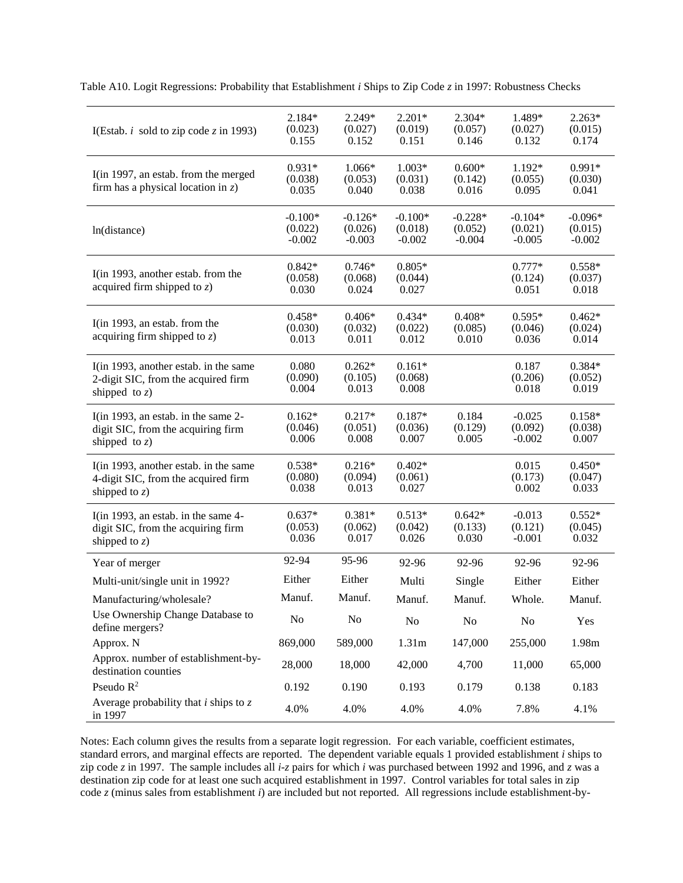| I(Estab. $i$ sold to zip code $z$ in 1993)                                                       | $2.184*$<br>(0.023)<br>0.155     | 2.249*<br>(0.027)<br>0.152       | $2.201*$<br>(0.019)<br>0.151     | $2.304*$<br>(0.057)<br>0.146     | 1.489*<br>(0.027)<br>0.132       | $2.263*$<br>(0.015)<br>0.174     |
|--------------------------------------------------------------------------------------------------|----------------------------------|----------------------------------|----------------------------------|----------------------------------|----------------------------------|----------------------------------|
| I(in 1997, an estab. from the merged<br>firm has a physical location in $z$ )                    | $0.931*$<br>(0.038)<br>0.035     | 1.066*<br>(0.053)<br>0.040       | $1.003*$<br>(0.031)<br>0.038     | $0.600*$<br>(0.142)<br>0.016     | 1.192*<br>(0.055)<br>0.095       | $0.991*$<br>(0.030)<br>0.041     |
| ln(distance)                                                                                     | $-0.100*$<br>(0.022)<br>$-0.002$ | $-0.126*$<br>(0.026)<br>$-0.003$ | $-0.100*$<br>(0.018)<br>$-0.002$ | $-0.228*$<br>(0.052)<br>$-0.004$ | $-0.104*$<br>(0.021)<br>$-0.005$ | $-0.096*$<br>(0.015)<br>$-0.002$ |
| I(in 1993, another estab. from the<br>acquired firm shipped to $z$ )                             | $0.842*$<br>(0.058)<br>0.030     | $0.746*$<br>(0.068)<br>0.024     | $0.805*$<br>(0.044)<br>0.027     |                                  | $0.777*$<br>(0.124)<br>0.051     | $0.558*$<br>(0.037)<br>0.018     |
| I(in 1993, an estab. from the<br>acquiring firm shipped to $z$ )                                 | $0.458*$<br>(0.030)<br>0.013     | $0.406*$<br>(0.032)<br>0.011     | $0.434*$<br>(0.022)<br>0.012     | $0.408*$<br>(0.085)<br>0.010     | $0.595*$<br>(0.046)<br>0.036     | $0.462*$<br>(0.024)<br>0.014     |
| I(in 1993, another estab. in the same<br>2-digit SIC, from the acquired firm<br>shipped to $z$ ) | 0.080<br>(0.090)<br>0.004        | $0.262*$<br>(0.105)<br>0.013     | $0.161*$<br>(0.068)<br>0.008     |                                  | 0.187<br>(0.206)<br>0.018        | $0.384*$<br>(0.052)<br>0.019     |
| I(in 1993, an estab. in the same 2-<br>digit SIC, from the acquiring firm<br>shipped to $z$ )    | $0.162*$<br>(0.046)<br>0.006     | $0.217*$<br>(0.051)<br>0.008     | $0.187*$<br>(0.036)<br>0.007     | 0.184<br>(0.129)<br>0.005        | $-0.025$<br>(0.092)<br>$-0.002$  | $0.158*$<br>(0.038)<br>0.007     |
| I(in 1993, another estab. in the same<br>4-digit SIC, from the acquired firm<br>shipped to $z$ ) | $0.538*$<br>(0.080)<br>0.038     | $0.216*$<br>(0.094)<br>0.013     | $0.402*$<br>(0.061)<br>0.027     |                                  | 0.015<br>(0.173)<br>0.002        | $0.450*$<br>(0.047)<br>0.033     |
| I(in 1993, an estab. in the same 4-<br>digit SIC, from the acquiring firm<br>shipped to $z$ )    | $0.637*$<br>(0.053)<br>0.036     | $0.381*$<br>(0.062)<br>0.017     | $0.513*$<br>(0.042)<br>0.026     | $0.642*$<br>(0.133)<br>0.030     | $-0.013$<br>(0.121)<br>$-0.001$  | $0.552*$<br>(0.045)<br>0.032     |
| Year of merger                                                                                   | 92-94                            | 95-96                            | 92-96                            | 92-96                            | 92-96                            | 92-96                            |
| Multi-unit/single unit in 1992?                                                                  | Either                           | Either                           | Multi                            | Single                           | Either                           | Either                           |
| Manufacturing/wholesale?                                                                         | Manuf.                           | Manuf.                           | Manuf.                           | Manuf.                           | Whole.                           | Manuf.                           |
| Use Ownership Change Database to<br>define mergers?                                              | No                               | No                               | No                               | No                               | N <sub>o</sub>                   | Yes                              |
| Approx. N                                                                                        | 869,000                          | 589,000                          | 1.31m                            | 147,000                          | 255,000                          | 1.98m                            |
| Approx. number of establishment-by-<br>destination counties                                      | 28,000                           | 18,000                           | 42,000                           | 4,700                            | 11,000                           | 65,000                           |
| Pseudo $\mathbb{R}^2$                                                                            | 0.192                            | 0.190                            | 0.193                            | 0.179                            | 0.138                            | 0.183                            |
| Average probability that $i$ ships to $z$<br>in 1997                                             | 4.0%                             | 4.0%                             | 4.0%                             | 4.0%                             | 7.8%                             | 4.1%                             |

Table A10. Logit Regressions: Probability that Establishment *i* Ships to Zip Code *z* in 1997: Robustness Checks

Notes: Each column gives the results from a separate logit regression. For each variable, coefficient estimates, standard errors, and marginal effects are reported. The dependent variable equals 1 provided establishment *i* ships to zip code *z* in 1997. The sample includes all *i*-*z* pairs for which *i* was purchased between 1992 and 1996, and *z* was a destination zip code for at least one such acquired establishment in 1997. Control variables for total sales in zip code *z* (minus sales from establishment *i*) are included but not reported. All regressions include establishment-by